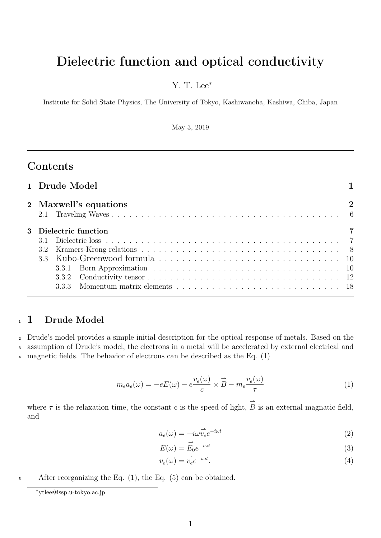# Dielectric function and optical conductivity

## Y. T. Lee<sup>∗</sup>

Institute for Solid State Physics, The University of Tokyo, Kashiwanoha, Kashiwa, Chiba, Japan

May 3, 2019

# Contents

|  | 1 Drude Model         |                |
|--|-----------------------|----------------|
|  | 2 Maxwell's equations | $\overline{2}$ |
|  | 3 Dielectric function |                |
|  |                       |                |
|  |                       |                |
|  |                       |                |
|  |                       |                |
|  |                       |                |
|  |                       |                |

### <sup>1</sup> 1 Drude Model

<sup>2</sup> Drude's model provides a simple initial description for the optical response of metals. Based on the <sup>3</sup> assumption of Drude's model, the electrons in a metal will be accelerated by external electrical and <sup>4</sup> magnetic fields. The behavior of electrons can be described as the Eq. (1)

$$
m_e a_e(\omega) = -eE(\omega) - e\frac{v_e(\omega)}{c} \times \vec{B} - m_e \frac{v_e(\omega)}{\tau}
$$
 (1)

where  $\tau$  is the relaxation time, the constant c is the speed of light,  $\hat{\vec{B}}$  is an external magnatic field, and

$$
a_e(\omega) = -i\omega \vec{v}_e e^{-i\omega t}
$$
\n(2)

$$
E(\omega) = \vec{E}_0 e^{-i\omega t} \tag{3}
$$

$$
v_e(\omega) = \vec{v_e} e^{-i\omega t}.
$$
\n<sup>(4)</sup>

<sup>5</sup> After reorganizing the Eq. (1), the Eq. (5) can be obtained.

<sup>∗</sup>ytlee@issp.u-tokyo.ac.jp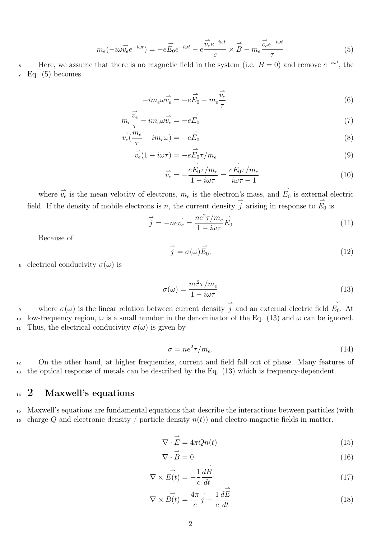$$
m_e(-i\omega \vec{v}_e e^{-i\omega t}) = -e\vec{E}_0 e^{-i\omega t} - e\vec{\frac{v}_e e^{-i\omega t}}{c} \times \vec{B} - m_e \frac{\vec{v}_e e^{-i\omega t}}{\tau}
$$
(5)

6 Here, we assume that there is no magnetic field in the system (i.e.  $B=0$ ) and remove  $e^{-i\omega t}$ , the  $Eq. (5)$  becomes

$$
-im_e\omega\vec{v_e} = -e\vec{E_0} - m_e\frac{\vec{v_e}}{\tau}
$$
 (6)

$$
m_e \frac{\vec{v_e}}{\tau} - im_e \omega \vec{v_e} = -e \vec{E_0}
$$
\n<sup>(7)</sup>

$$
\vec{v}_e(\frac{m_e}{\tau} - im_e \omega) = -e\vec{E}_0
$$
\n(8)

$$
\vec{v}_e(1 - i\omega\tau) = -e\vec{E}_0\tau/m_e
$$
\n(9)

$$
\vec{v}_e = -\frac{eE_0\tau/m_e}{1 - i\omega\tau} = \frac{eE_0\tau/m_e}{i\omega\tau - 1}
$$
\n(10)

where  $\vec{v_e}$  is the mean velocity of electrons,  $m_e$  is the electron's mass, and  $\vec{E_0}$  is external electric field. If the density of mobile electrons is n, the current density  $\overrightarrow{j}$  arising in response to  $\overrightarrow{E}_0$  is

$$
\vec{j} = -ne\vec{v_e} = \frac{ne^2\tau/m_e}{1 - i\omega\tau}\vec{E_0}
$$
\n(11)

Because of

$$
\vec{j} = \sigma(\omega)\vec{E_0},\tag{12}
$$

s electrical conducivity  $\sigma(\omega)$  is

$$
\sigma(\omega) = \frac{ne^2 \tau / m_e}{1 - i\omega \tau} \tag{13}
$$

where  $\sigma(\omega)$  is the linear relation between current density  $\vec{j}$  and an external electric field  $\vec{E}_0$ . At 10 low-frequency region,  $\omega$  is a small number in the denominator of the Eq. (13) and  $\omega$  can be ignored. 11 Thus, the electrical conducivity  $\sigma(\omega)$  is given by

$$
\sigma = ne^2 \tau / m_e. \tag{14}
$$

<sup>12</sup> On the other hand, at higher frequencies, current and field fall out of phase. Many features of <sup>13</sup> the optical response of metals can be described by the Eq. (13) which is frequency-dependent.

### <sup>14</sup> 2 Maxwell's equations

<sup>15</sup> Maxwell's equations are fundamental equations that describe the interactions between particles (with 16 charge Q and electronic density / particle density  $n(t)$  and electro-magnetic fields in matter.

$$
\nabla \cdot \vec{E} = 4\pi Q n(t) \tag{15}
$$

$$
\nabla \cdot \vec{B} = 0 \tag{16}
$$

$$
\nabla \times \vec{E(t)} = -\frac{1}{c} \frac{d\vec{B}}{dt}
$$
\n(17)

$$
\nabla \times \vec{B(t)} = \frac{4\pi}{c} \vec{j} + \frac{1}{c} \frac{d\vec{E}}{dt}
$$
\n(18)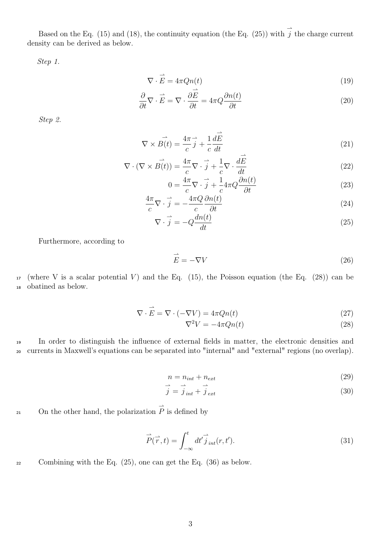Based on the Eq. (15) and (18), the continuity equation (the Eq. (25)) with  $\overrightarrow{j}$  the charge current density can be derived as below.

 $\rightarrow$ 

Step 1.

$$
\nabla \cdot \vec{E} = 4\pi Q n(t) \tag{19}
$$

$$
\frac{\partial}{\partial t} \nabla \cdot \vec{E} = \nabla \cdot \frac{\partial E}{\partial t} = 4\pi Q \frac{\partial n(t)}{\partial t}
$$
\n(20)

Step 2.

$$
\nabla \times \vec{B(t)} = \frac{4\pi}{c} \vec{j} + \frac{1}{c} \frac{d\vec{E}}{dt}
$$
\n(21)

$$
\nabla \cdot (\nabla \times \overrightarrow{B(t)}) = \frac{4\pi}{c} \nabla \cdot \overrightarrow{j} + \frac{1}{c} \nabla \cdot \frac{d\overrightarrow{E}}{dt}
$$
(22)

$$
0 = \frac{4\pi}{c}\nabla \cdot \vec{j} + \frac{1}{c}4\pi Q \frac{\partial n(t)}{\partial t}
$$
 (23)

$$
\frac{4\pi}{c}\nabla \cdot \vec{j} = -\frac{4\pi Q}{c}\frac{\partial n(t)}{\partial t} \tag{24}
$$

$$
\nabla \cdot \vec{j} = -Q \frac{dn(t)}{dt} \tag{25}
$$

Furthermore, according to

$$
\vec{E} = -\nabla V \tag{26}
$$

17 (where V is a scalar potential V) and the Eq. (15), the Poisson equation (the Eq. (28)) can be <sup>18</sup> obatined as below.

$$
\nabla \cdot \vec{E} = \nabla \cdot (-\nabla V) = 4\pi Q n(t)
$$
\n(27)

$$
\nabla^2 V = -4\pi Q n(t) \tag{28}
$$

<sup>19</sup> In order to distinguish the influence of external fields in matter, the electronic densities and <sup>20</sup> currents in Maxwell's equations can be separated into "internal" and "external" regions (no overlap).

$$
n = n_{int} + n_{ext} \tag{29}
$$

$$
\vec{j} = \vec{j}_{int} + \vec{j}_{ext} \tag{30}
$$

21 On the other hand, the polarization  $\overrightarrow{P}$  is defined by

$$
\vec{P}(\vec{r},t) = \int_{-\infty}^{t} dt' \vec{j}_{int}(r,t'). \tag{31}
$$

<sup>22</sup> Combining with the Eq. (25), one can get the Eq. (36) as below.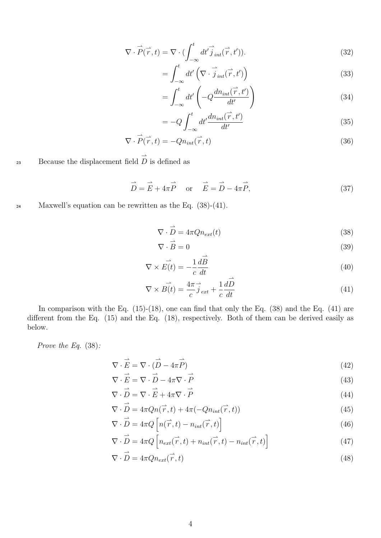$$
\nabla \cdot \vec{P}(\vec{r},t) = \nabla \cdot (\int_{-\infty}^{t} dt' \vec{j}_{int}(\vec{r},t')).
$$
\n(32)

$$
=\int_{-\infty}^{t} dt' \left(\nabla \cdot \overrightarrow{j}_{int}(\overrightarrow{r}, t')\right)
$$
\n(33)

$$
=\int_{-\infty}^{t} dt' \left(-Q \frac{d n_{int}(\vec{r}, t')}{dt'}\right) \tag{34}
$$

$$
=-Q\int_{-\infty}^{t}dt'\frac{dn_{int}(\vec{r},t')}{dt'}\tag{35}
$$

$$
\nabla \cdot \vec{P}(\vec{r},t) = -Qn_{int}(\vec{r},t)
$$
\n(36)

23 Because the displacement field  $\overrightarrow{D}$  is defined as

$$
\vec{D} = \vec{E} + 4\pi \vec{P} \quad \text{or} \quad \vec{E} = \vec{D} - 4\pi \vec{P}, \tag{37}
$$

<sup>24</sup> Maxwell's equation can be rewritten as the Eq. (38)-(41).

$$
\nabla \cdot \vec{D} = 4\pi Q n_{ext}(t) \tag{38}
$$

$$
\nabla \cdot \vec{B} = 0 \tag{39}
$$

$$
\nabla \times \vec{E(t)} = -\frac{1}{c} \frac{d\vec{B}}{dt}
$$
 (40)

$$
\nabla \times \vec{B(t)} = \frac{4\pi}{c} \vec{j}_{ext} + \frac{1}{c} \frac{dD}{dt}
$$
\n(41)

In comparison with the Eq.  $(15)-(18)$ , one can find that only the Eq.  $(38)$  and the Eq.  $(41)$  are different from the Eq. (15) and the Eq. (18), respectively. Both of them can be derived easily as below.

Prove the Eq. (38):

$$
\nabla \cdot \vec{E} = \nabla \cdot (\vec{D} - 4\pi \vec{P}) \tag{42}
$$

$$
\nabla \cdot \vec{E} = \nabla \cdot \vec{D} - 4\pi \nabla \cdot \vec{P}
$$
\n(43)

$$
\nabla \cdot \vec{D} = \nabla \cdot \vec{E} + 4\pi \nabla \cdot \vec{P}
$$
\n(44)

$$
\nabla \cdot \vec{D} = 4\pi Q n(\vec{r}, t) + 4\pi (-Q n_{int}(\vec{r}, t))
$$
\n(45)

$$
\nabla \cdot \vec{D} = 4\pi Q \left[ n(\vec{r}, t) - n_{int}(\vec{r}, t) \right]
$$
\n(46)

$$
\nabla \cdot \vec{D} = 4\pi Q \left[ n_{ext}(\vec{r}, t) + n_{int}(\vec{r}, t) - n_{int}(\vec{r}, t) \right]
$$
(47)

$$
\nabla \cdot \vec{D} = 4\pi Q n_{ext}(\vec{r}, t)
$$
\n(48)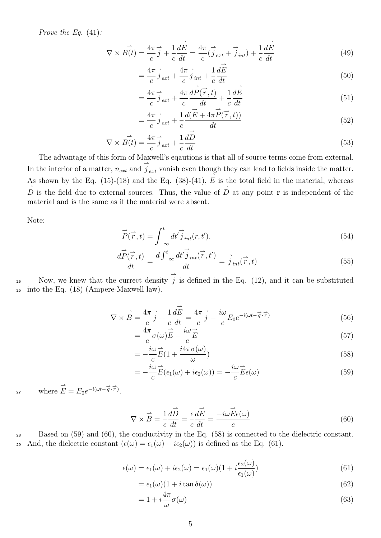Prove the Eq.  $(41)$ :

$$
\nabla \times \vec{B(t)} = \frac{4\pi}{c}\vec{j} + \frac{1}{c}\frac{d\vec{E}}{dt} = \frac{4\pi}{c}(\vec{j}_{ext} + \vec{j}_{int}) + \frac{1}{c}\frac{d\vec{E}}{dt}
$$
(49)

$$
=\frac{4\pi}{c}\vec{j}_{ext} + \frac{4\pi}{c}\vec{j}_{int} + \frac{1}{c}\frac{dE}{dt}
$$
\n(50)

$$
=\frac{4\pi}{c}\vec{j}_{ext}+\frac{4\pi}{c}\frac{d\vec{P}(\vec{r},t)}{dt}+\frac{1}{c}\frac{d\vec{E}}{dt}
$$
(51)

$$
=\frac{4\pi}{c}\vec{j}_{ext}+\frac{1}{c}\frac{d(\vec{E}+4\pi\vec{P}(\vec{r},t))}{dt}\tag{52}
$$

$$
\nabla \times \vec{B(t)} = \frac{4\pi}{c} \vec{j}_{ext} + \frac{1}{c} \frac{d\vec{D}}{dt}
$$
\n(53)

The advantage of this form of Maxwell's eqautions is that all of source terms come from external. In the interior of a matter,  $n_{ext}$  and  $\overrightarrow{j}_{ext}$  vanish even though they can lead to fields inside the matter. As shown by the Eq. (15)-(18) and the Eq. (38)-(41),  $\overrightarrow{E}$  is the total field in the material, whereas  $\overrightarrow{D}$  is the field due to external sources. Thus, the value of  $\overrightarrow{D}$  at any point **r** is independent of the material and is the same as if the material were absent.

Note:

$$
\vec{P}(\vec{r},t) = \int_{-\infty}^{t} dt' \vec{j}_{int}(r,t'). \tag{54}
$$

$$
\frac{d\vec{P}(\vec{r},t)}{dt} = \frac{d\int_{-\infty}^{t} dt' \vec{j}_{int}(\vec{r},t')}{dt} = \vec{j}_{int}(\vec{r},t)
$$
\n(55)

Now, we knew that the currect density  $\overrightarrow{j}$  is defined in the Eq. (12), and it can be substituted <sup>26</sup> into the Eq. (18) (Ampere-Maxwell law).

$$
\nabla \times \vec{B} = \frac{4\pi}{c}\vec{j} + \frac{1}{c}\frac{d\vec{E}}{dt} = \frac{4\pi}{c}\vec{j} - \frac{i\omega}{c}E_0e^{-i(\omega t - \vec{q}\cdot\vec{r})}
$$
(56)

$$
=\frac{4\pi}{c}\sigma(\omega)\vec{E} - \frac{i\omega}{c}\vec{E}
$$
\n(57)

$$
= -\frac{i\omega}{c}\vec{E}(1 + \frac{i4\pi\sigma(\omega)}{\omega})
$$
\n(58)

$$
= -\frac{i\omega}{c}\vec{E}(\epsilon_1(\omega) + i\epsilon_2(\omega)) = -\frac{i\omega}{c}\vec{E}\epsilon(\omega)
$$
\n(59)

27 where  $\overrightarrow{E} = E_0 e^{-i(\omega t - \overrightarrow{q} \cdot \overrightarrow{r})}$ .

$$
\nabla \times \vec{B} = \frac{1}{c} \frac{d\vec{D}}{dt} = \frac{\epsilon}{c} \frac{d\vec{E}}{dt} = \frac{-i\omega \vec{E} \epsilon(\omega)}{c}
$$
(60)

<sup>28</sup> Based on (59) and (60), the conductivity in the Eq. (58) is connected to the dielectric constant. 29 And, the dielectric constant  $(\epsilon(\omega) = \epsilon_1(\omega) + i\epsilon_2(\omega))$  is defined as the Eq. (61).

$$
\epsilon(\omega) = \epsilon_1(\omega) + i\epsilon_2(\omega) = \epsilon_1(\omega)(1 + i\frac{\epsilon_2(\omega)}{\epsilon_1(\omega)})
$$
\n(61)

$$
= \epsilon_1(\omega)(1 + i \tan \delta(\omega)) \tag{62}
$$

$$
=1+i\frac{4\pi}{\omega}\sigma(\omega)\tag{63}
$$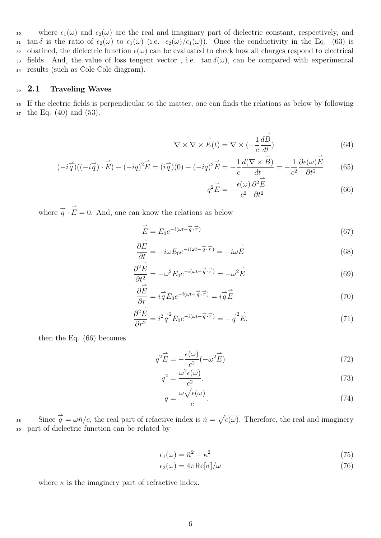30 where  $\epsilon_1(\omega)$  and  $\epsilon_2(\omega)$  are the real and imaginary part of dielectric constant, respectively, and 31 tan δ is the ratio of  $\epsilon_2(\omega)$  to  $\epsilon_1(\omega)$  (i.e.  $\epsilon_2(\omega)/\epsilon_1(\omega)$ ). Once the conductivity in the Eq. (63) is 32 obatined, the dielectric function  $\epsilon(\omega)$  can be evaluated to check how all charges respond to electrical 33 fields. And, the value of loss tengent vector, i.e. tan  $\delta(\omega)$ , can be compared with experimental <sup>34</sup> results (such as Cole-Cole diagram).

### <sup>35</sup> 2.1 Traveling Waves

<sup>36</sup> If the electric fields is perpendicular to the matter, one can finds the relations as below by following  $\frac{37}{10}$  the Eq. (40) and (53).

$$
\nabla \times \nabla \times \vec{E}(t) = \nabla \times \left( -\frac{1}{c} \frac{d\vec{B}}{dt} \right)
$$
(64)

$$
(-i\vec{q})((-i\vec{q})\cdot\vec{E}) - (-iq)^2\vec{E} = (i\vec{q})(0) - (-iq)^2\vec{E} = -\frac{1}{c}\frac{d(\nabla \times \vec{B})}{dt} = -\frac{1}{c^2}\frac{\partial \epsilon(\omega)\vec{E}}{\partial t^2}
$$
(65)

$$
q^2 \vec{E} = -\frac{\epsilon(\omega)}{c^2} \frac{\partial^2 E}{\partial t^2}
$$
 (66)

where  $\vec{q} \cdot \vec{E} = 0$ . And, one can know the relations as below

$$
\vec{E} = E_0 e^{-i(\omega t - \vec{q} \cdot \vec{r})} \tag{67}
$$

$$
\frac{\partial \vec{E}}{\partial t} = -i\omega E_0 e^{-i(\omega t - \vec{q} \cdot \vec{r})} = -i\omega \vec{E}
$$
\n(68)

$$
\frac{\partial^2 \vec{E}}{\partial t^2} = -\omega^2 E_0 e^{-i(\omega t - \vec{q} \cdot \vec{r})} = -\omega^2 \vec{E}
$$
 (69)

$$
\frac{\partial \vec{E}}{\partial r} = i \vec{q} E_0 e^{-i(\omega t - \vec{q} \cdot \vec{r})} = i \vec{q} \vec{E}
$$
\n(70)

$$
\frac{\partial^2 \vec{E}}{\partial r^2} = i^2 \vec{q}^2 E_0 e^{-i(\omega t - \vec{q} \cdot \vec{r})} = -\vec{q}^2 \vec{E},\tag{71}
$$

then the Eq. (66) becomes

$$
q^2 \vec{E} = -\frac{\epsilon(\omega)}{c^2} (-\omega^2 \vec{E}) \tag{72}
$$

$$
q^2 = \frac{\omega^2 \epsilon(\omega)}{c^2}.
$$
\n(73)

$$
q = \frac{\omega \sqrt{\epsilon(\omega)}}{c}.\tag{74}
$$

Since  $\vec{q} = \omega \tilde{n}/c$ , the real part of refactive index is  $\tilde{n} = \sqrt{\epsilon(\omega)}$ . Therefore, the real and imaginery <sup>39</sup> part of dielectric function can be related by

$$
\epsilon_1(\omega) = \tilde{n}^2 - \kappa^2 \tag{75}
$$

$$
\epsilon_2(\omega) = 4\pi \text{Re}[\sigma]/\omega \tag{76}
$$

where  $\kappa$  is the imaginery part of refractive index.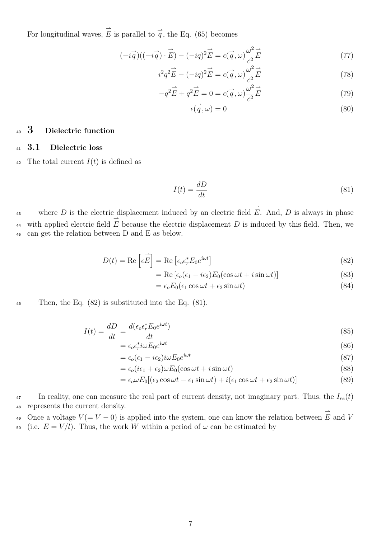For longitudinal waves,  $\overrightarrow{E}$  is parallel to  $\overrightarrow{q}$ , the Eq. (65) becomes

$$
(-i\vec{q})((-i\vec{q})\cdot\vec{E}) - (-iq)^2 \vec{E} = \epsilon(\vec{q}, \omega) \frac{\omega^2}{c^2} \vec{E}
$$
 (77)

$$
i^2 q^2 \vec{E} - (-iq)^2 \vec{E} = \epsilon(\vec{q}, \omega) \frac{\omega^2}{c^2} \vec{E}
$$
 (78)

$$
-q^2 \vec{E} + q^2 \vec{E} = 0 = \epsilon(\vec{q}, \omega) \frac{\omega^2}{c^2} \vec{E}
$$
 (79)

$$
\epsilon(\vec{q}, \omega) = 0 \tag{80}
$$

### <sup>40</sup> 3 Dielectric function

#### <sup>41</sup> 3.1 Dielectric loss

42 The total current  $I(t)$  is defined as

$$
I(t) = \frac{dD}{dt} \tag{81}
$$

where D is the electric displacement induced by an electric field  $\vec{E}$ . And, D is always in phase with applied electric field  $\overrightarrow{E}$  because the electric displacement D is induced by this field. Then, we <sup>45</sup> can get the relation between D and E as below.

$$
D(t) = \text{Re}\left[\epsilon \vec{E}\right] = \text{Re}\left[\epsilon_o \epsilon_r^* E_0 e^{i\omega t}\right]
$$
\n(82)

$$
= \text{Re}\left[\epsilon_o(\epsilon_1 - i\epsilon_2)E_0(\cos\omega t + i\sin\omega t)\right]
$$
\n(83)

$$
= \epsilon_o E_0(\epsilon_1 \cos \omega t + \epsilon_2 \sin \omega t) \tag{84}
$$

46 Then, the Eq.  $(82)$  is substituted into the Eq.  $(81)$ .

$$
I(t) = \frac{dD}{dt} = \frac{d(\epsilon_o \epsilon_r^* E_0 e^{i\omega t})}{dt}
$$
\n(85)

$$
= \epsilon_o \epsilon_r^* i\omega E_0 e^{i\omega t} \tag{86}
$$

$$
= \epsilon_o(\epsilon_1 - i\epsilon_2) i\omega E_0 e^{i\omega t} \tag{87}
$$

$$
= \epsilon_o (i\epsilon_1 + \epsilon_2) \omega E_0 (\cos \omega t + i \sin \omega t)
$$
\n(88)

$$
= \epsilon_o \omega E_0 [(\epsilon_2 \cos \omega t - \epsilon_1 \sin \omega t) + i(\epsilon_1 \cos \omega t + \epsilon_2 \sin \omega t)] \tag{89}
$$

 $\frac{47}{47}$  In reality, one can measure the real part of current density, not imaginary part. Thus, the  $I_{re}(t)$ <sup>48</sup> represents the current density.

Once a voltage  $V(=V-0)$  is applied into the system, one can know the relation between  $\vec{E}$  and V 50 (i.e.  $E = V/l$ ). Thus, the work W within a period of  $\omega$  can be estimated by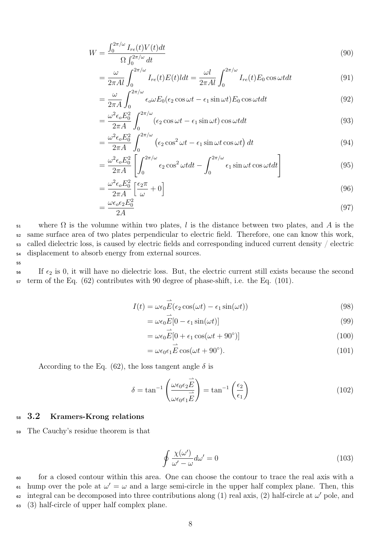$$
W = \frac{\int_0^{2\pi/\omega} I_{re}(t)V(t)dt}{\Omega \int_0^{2\pi/\omega} dt}
$$
\n(90)

$$
= \frac{\omega}{2\pi Al} \int_0^{2\pi/\omega} I_{re}(t) E(t) dt = \frac{\omega l}{2\pi Al} \int_0^{2\pi/\omega} I_{re}(t) E_0 \cos \omega t dt \tag{91}
$$

$$
= \frac{\omega}{2\pi A} \int_0^{2\pi/\omega} \epsilon_o \omega E_0(\epsilon_2 \cos \omega t - \epsilon_1 \sin \omega t) E_0 \cos \omega t dt \tag{92}
$$

$$
= \frac{\omega^2 \epsilon_o E_0^2}{2\pi A} \int_0^{2\pi/\omega} (\epsilon_2 \cos \omega t - \epsilon_1 \sin \omega t) \cos \omega t dt
$$
\n(93)

$$
= \frac{\omega^2 \epsilon_o E_0^2}{2\pi A} \int_0^{2\pi/\omega} \left(\epsilon_2 \cos^2 \omega t - \epsilon_1 \sin \omega t \cos \omega t\right) dt \tag{94}
$$

$$
= \frac{\omega^2 \epsilon_o E_0^2}{2\pi A} \left[ \int_0^{2\pi/\omega} \epsilon_2 \cos^2 \omega t dt - \int_0^{2\pi/\omega} \epsilon_1 \sin \omega t \cos \omega t dt \right]
$$
(95)

$$
=\frac{\omega^2 \epsilon_o E_0^2}{2\pi A} \left[\frac{\epsilon_2 \pi}{\omega} + 0\right]
$$
\n(96)

$$
=\frac{\omega\epsilon_o\epsilon_2 E_0^2}{2A} \tag{97}
$$

 $\mathfrak{so}$  where  $\Omega$  is the volumne within two plates, l is the distance between two plates, and A is the same surface area of two plates perpendicular to electric field. Therefore, one can know this work, called dielectric loss, is caused by electric fields and corresponding induced current density / electric displacement to absorb energy from external sources.

55

 $\frac{1}{2}$  If  $\epsilon_2$  is 0, it will have no dielectric loss. But, the electric current still exists because the second <sup>57</sup> term of the Eq. (62) contributes with 90 degree of phase-shift, i.e. the Eq. (101).

$$
I(t) = \omega \epsilon_0 \vec{E} (\epsilon_2 \cos(\omega t) - \epsilon_1 \sin(\omega t))
$$
\n(98)

$$
= \omega \epsilon_0 E[0 - \epsilon_1 \sin(\omega t)] \tag{99}
$$

$$
= \omega \epsilon_0 \vec{E} [0 + \epsilon_1 \cos(\omega t + 90^\circ)] \tag{100}
$$

$$
= \omega \epsilon_0 \epsilon_1 \vec{E} \cos(\omega t + 90^\circ). \tag{101}
$$

According to the Eq. (62), the loss tangent angle  $\delta$  is

=

$$
\delta = \tan^{-1} \left( \frac{\omega \epsilon_0 \epsilon_2 \vec{E}}{\omega \epsilon_0 \epsilon_1 \vec{E}} \right) = \tan^{-1} \left( \frac{\epsilon_2}{\epsilon_1} \right)
$$
(102)

### <sup>58</sup> 3.2 Kramers-Krong relations

<sup>59</sup> The Cauchy's residue theorem is that

$$
\oint \frac{\chi(\omega')}{\omega' - \omega} d\omega' = 0
$$
\n(103)

<sup>60</sup> for a closed contour within this area. One can choose the contour to trace the real axis with a <sup>61</sup> hump over the pole at  $ω' = ω$  and a large semi-circle in the upper half complex plane. Then, this <sup>62</sup> integral can be decomposed into three contributions along (1) real axis, (2) half-circle at  $ω'$  pole, and <sup>63</sup> (3) half-circle of upper half complex plane.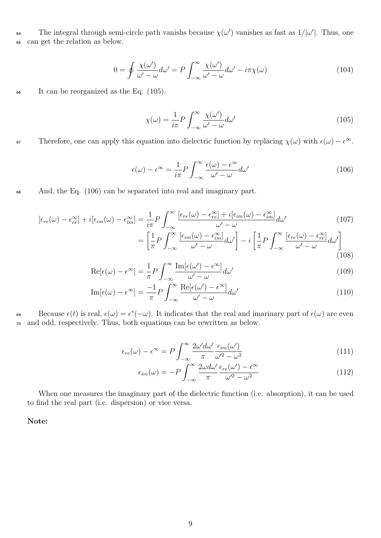The integral through semi-circle path vanishs because  $\chi(\omega')$  vanishes as fast as  $1/|\omega'|$ . Thus, one <sup>65</sup> can get the relation as below.

$$
0 = \oint \frac{\chi(\omega')}{\omega' - \omega} d\omega' = P \int_{-\infty}^{\infty} \frac{\chi(\omega')}{\omega' - \omega} d\omega' - i\pi \chi(\omega)
$$
(104)

<sup>66</sup> It can be reorganized as the Eq. (105).

$$
\chi(\omega) = \frac{1}{i\pi} P \int_{-\infty}^{\infty} \frac{\chi(\omega')}{\omega' - \omega} d\omega'
$$
\n(105)

 $\epsilon$ <sup>57</sup> Therefore, one can apply this equation into dielectric function by replacing  $\chi(\omega)$  with  $\epsilon(\omega) - \epsilon^{\infty}$ .

$$
\epsilon(\omega) - \epsilon^{\infty} = \frac{1}{i\pi} P \int_{-\infty}^{\infty} \frac{\epsilon(\omega) - \epsilon^{\infty}}{\omega' - \omega} d\omega'
$$
 (106)

<sup>68</sup> And, the Eq. (106) can be separated into real and imaginary part.

$$
[\epsilon_{re}(\omega) - \epsilon_{re}^{\infty}] + i[\epsilon_{im}(\omega) - \epsilon_{im}^{\infty}] = \frac{1}{i\pi} P \int_{-\infty}^{\infty} \frac{[\epsilon_{re}(\omega) - \epsilon_{re}^{\infty}] + i[\epsilon_{im}(\omega) - \epsilon_{im}^{\infty}]}{\omega' - \omega} d\omega'
$$
(107)  

$$
= \left[\frac{1}{\pi} P \int_{-\infty}^{\infty} \frac{[\epsilon_{im}(\omega) - \epsilon_{im}^{\infty}]}{\omega' - \omega} d\omega' \right] - i \left[\frac{1}{\pi} P \int_{-\infty}^{\infty} \frac{[\epsilon_{re}(\omega) - \epsilon_{re}^{\infty}]}{\omega' - \omega} d\omega' \right]
$$
(108)

$$
\operatorname{Re}[\epsilon(\omega) - \epsilon^{\infty}] = \frac{1}{\pi} P \int_{-\infty}^{\infty} \frac{\operatorname{Im}[\epsilon(\omega') - \epsilon^{\infty}]}{\omega' - \omega} d\omega'
$$
(109)

$$
\operatorname{Im}[\epsilon(\omega) - \epsilon^{\infty}] = \frac{-1}{\pi} P \int_{-\infty}^{\infty} \frac{\operatorname{Re}[\epsilon(\omega') - \epsilon^{\infty}]}{\omega' - \omega} d\omega'
$$
(110)

Because  $\epsilon(t)$  is real,  $\epsilon(\omega) = \epsilon^*(-\omega)$ . It indicates that the real and imarinary part of  $\epsilon(\omega)$  are even <sup>70</sup> and odd, respectively. Thus, both equations can be rewritten as below.

$$
\epsilon_{re}(\omega) - \epsilon^{\infty} = P \int_{-\infty}^{\infty} \frac{2\omega' d\omega'}{\pi} \frac{\epsilon_{im}(\omega')}{\omega'^2 - \omega^2}
$$
(111)

$$
\epsilon_{im}(\omega) = -P \int_{-\infty}^{\infty} \frac{2\omega d\omega'}{\pi} \frac{\epsilon_{re}(\omega') - \epsilon^{\infty}}{\omega'^2 - \omega^2}
$$
(112)

When one measures the imaginary part of the dielectric function (i.e. absorption), it can be used to find the real part (i.e. dispersion) or vice versa.

Note: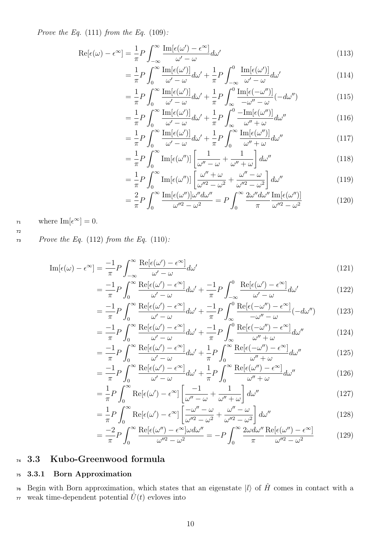Prove the Eq.  $(111)$  from the Eq.  $(109)$ :

$$
\operatorname{Re}[\epsilon(\omega) - \epsilon^{\infty}] = \frac{1}{\pi} P \int_{-\infty}^{\infty} \frac{\operatorname{Im}[\epsilon(\omega') - \epsilon^{\infty}]}{\omega' - \omega} d\omega'
$$
(113)

$$
= \frac{1}{\pi} P \int_0^\infty \frac{\mathrm{Im}[\epsilon(\omega')]}{\omega' - \omega} d\omega' + \frac{1}{\pi} P \int_{-\infty}^0 \frac{\mathrm{Im}[\epsilon(\omega')]}{\omega' - \omega} d\omega' \tag{114}
$$

$$
= \frac{1}{\pi} P \int_0^\infty \frac{\mathrm{Im}[\epsilon(\omega')]}{\omega' - \omega} d\omega' + \frac{1}{\pi} P \int_{\infty}^0 \frac{\mathrm{Im}[\epsilon(-\omega'')]}{-\omega'' - \omega} (-d\omega'')
$$
(115)

$$
= \frac{1}{\pi} P \int_0^\infty \frac{\text{Im}[\epsilon(\omega')]}{\omega' - \omega} d\omega' + \frac{1}{\pi} P \int_\infty^0 \frac{-\text{Im}[\epsilon(\omega'')]}{\omega'' + \omega} d\omega'' \tag{116}
$$

$$
= \frac{1}{\pi} P \int_0^\infty \frac{\mathrm{Im}[\epsilon(\omega')]}{\omega' - \omega} d\omega' + \frac{1}{\pi} P \int_0^\infty \frac{\mathrm{Im}[\epsilon(\omega'')]}{\omega'' + \omega} d\omega'' \tag{117}
$$

$$
= \frac{1}{\pi} P \int_0^\infty \text{Im}[\epsilon(\omega'')]\left[\frac{1}{\omega'' - \omega} + \frac{1}{\omega'' + \omega}\right] d\omega'' \tag{118}
$$

$$
= \frac{1}{\pi} P \int_0^\infty \text{Im}[\epsilon(\omega'')] \left[ \frac{\omega'' + \omega}{\omega''^2 - \omega^2} + \frac{\omega'' - \omega}{\omega''^2 - \omega^2} \right] d\omega'' \tag{119}
$$

$$
= \frac{2}{\pi} P \int_0^\infty \frac{\operatorname{Im}[\epsilon(\omega'')] \omega'' d\omega''}{\omega''^2 - \omega^2} = P \int_0^\infty \frac{2\omega'' d\omega''}{\pi} \frac{\operatorname{Im}[\epsilon(\omega'')]}{\omega''^2 - \omega^2}
$$
(120)

 $v_1$  where  $\text{Im}[\epsilon^{\infty}] = 0.$ 

72

 $P\$ {Prove the Eq. (112) from the Eq. (110):}

$$
\operatorname{Im}[\epsilon(\omega) - \epsilon^{\infty}] = \frac{-1}{\pi} P \int_{-\infty}^{\infty} \frac{\operatorname{Re}[\epsilon(\omega') - \epsilon^{\infty}]}{\omega' - \omega} d\omega'
$$
(121)

$$
= \frac{-1}{\pi} P \int_0^\infty \frac{\text{Re}[\epsilon(\omega') - \epsilon^\infty]}{\omega' - \omega} d\omega' + \frac{-1}{\pi} P \int_{-\infty}^0 \frac{\text{Re}[\epsilon(\omega') - \epsilon^\infty]}{\omega' - \omega} d\omega' \tag{122}
$$

$$
= \frac{-1}{\pi} P \int_0^\infty \frac{\text{Re}[\epsilon(\omega') - \epsilon^\infty]}{\omega' - \omega} d\omega' + \frac{-1}{\pi} P \int_\infty^0 \frac{\text{Re}[\epsilon(-\omega'') - \epsilon^\infty]}{-\omega'' - \omega} (-d\omega'') \tag{123}
$$

$$
= \frac{-1}{\pi} P \int_0^\infty \frac{\text{Re}[\epsilon(\omega') - \epsilon^\infty]}{\omega' - \omega} d\omega' + \frac{-1}{\pi} P \int_\infty^0 \frac{\text{Re}[\epsilon(-\omega'') - \epsilon^\infty]}{\omega'' + \omega} d\omega'' \tag{124}
$$

$$
= \frac{-1}{\pi} P \int_0^\infty \frac{\text{Re}[\epsilon(\omega') - \epsilon^\infty]}{\omega' - \omega} d\omega' + \frac{1}{\pi} P \int_0^\infty \frac{\text{Re}[\epsilon(-\omega'') - \epsilon^\infty]}{\omega'' + \omega} d\omega'' \tag{125}
$$

$$
=\frac{-1}{\pi}P\int_{0}^{\infty}\frac{\text{Re}[\epsilon(\omega')-\epsilon^{\infty}]}{\omega'-\omega}d\omega'+\frac{1}{\pi}P\int_{0}^{\infty}\frac{\text{Re}[\epsilon(\omega'')-\epsilon^{\infty}]}{\omega''+\omega}d\omega''
$$
(126)

$$
= \frac{1}{\pi} P \int_0^\infty \text{Re}[\epsilon(\omega') - \epsilon^\infty] \left[ \frac{-1}{\omega'' - \omega} + \frac{1}{\omega'' + \omega} \right] d\omega'' \tag{127}
$$

$$
= \frac{1}{\pi} P \int_0^\infty \text{Re}[\epsilon(\omega') - \epsilon^\infty] \left[ \frac{-\omega'' - \omega}{\omega''^2 - \omega^2} + \frac{\omega'' - \omega}{\omega''^2 - \omega^2} \right] d\omega'' \tag{128}
$$

$$
= \frac{-2}{\pi} P \int_0^\infty \frac{\text{Re}[\epsilon(\omega'') - \epsilon^\infty] \omega d\omega''}{\omega''^2 - \omega^2} = -P \int_0^\infty \frac{2\omega d\omega''}{\pi} \frac{\text{Re}[\epsilon(\omega'') - \epsilon^\infty]}{\omega''^2 - \omega^2}
$$
(129)

### <sup>74</sup> 3.3 Kubo-Greenwood formula

### <sup>75</sup> 3.3.1 Born Approximation

<sup>76</sup> Begin with Born approximation, which states that an eigenstate  $|l\rangle$  of  $\hat{H}$  comes in contact with a  $\overline{v}$  weak time-dependent potential  $\hat{U}(t)$  evloves into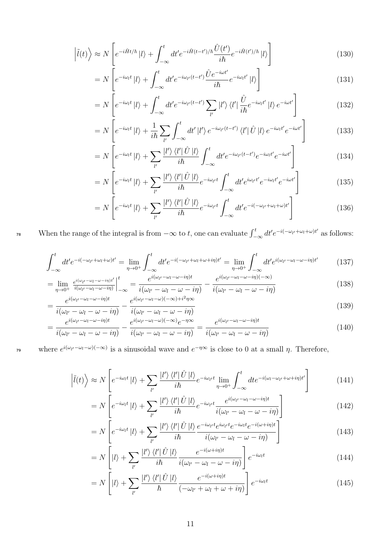$$
\left|\tilde{l}(t)\right\rangle \approx N\left[e^{-i\hat{H}t/\hbar}|l\rangle + \int_{-\infty}^{t} dt' e^{-i\hat{H}(t-t')/\hbar} \frac{\hat{U}(t')}{i\hbar} e^{-i\hat{H}(t')/\hbar}|l\rangle\right]
$$
\n(130)

$$
=N\left[e^{-i\omega_l t}|l\rangle + \int_{-\infty}^t dt' e^{-i\omega_{l'}(t-t')} \frac{\hat{U}e^{-i\omega t'}}{i\hbar} e^{-i\omega_l t'}|l\rangle\right]
$$
(131)

$$
=N\left[e^{-i\omega_l t}|l\rangle + \int_{-\infty}^t dt' e^{-i\omega_{l'}(t-t')} \sum_{l'}|l'\rangle \langle l'|\frac{\hat{U}}{i\hbar}e^{-i\omega_l t'}|l\rangle e^{-i\omega t'}\right]
$$
(132)

$$
=N\left[e^{-i\omega_l t}|l\rangle+\frac{1}{i\hbar}\sum_{l'}\int_{-\infty}^t dt'\left|l'\right\rangle e^{-i\omega_{l'}(t-t')}\left\langle l'\right|\hat{U}\left|l\right\rangle e^{-i\omega_l t'}e^{-i\omega t'}\right]
$$
(133)

$$
=N\left[e^{-i\omega_l t}|l\rangle+\sum_{l'}\frac{|l'\rangle\langle l'|\hat{U}|l\rangle}{i\hbar}\int_{-\infty}^t dt' e^{-i\omega_{l'}(t-t')}e^{-i\omega_l t'}e^{-i\omega t'}\right]
$$
\n(134)

$$
=N\left[e^{-i\omega_l t}|l\rangle+\sum_{l'}\frac{|l'\rangle\langle l'|\hat{U}|l\rangle}{i\hbar}e^{-i\omega_{l'}t}\int_{-\infty}^t dt' e^{i\omega_{l'}t'}e^{-i\omega_{l}t'}e^{-i\omega t'}\right]
$$
(135)

$$
=N\left[e^{-i\omega_l t}|l\rangle+\sum_{l'}\frac{|l'\rangle\langle l'|\hat{U}|l\rangle}{i\hbar}e^{-i\omega_{l'}t}\int_{-\infty}^t dt'e^{-i(-\omega_{l'}+\omega_l+\omega)t'}\right]
$$
(136)

<sup>78</sup> When the range of the integral is from  $-\infty$  to t, one can evaluate  $\int_{-\infty}^{t} dt' e^{-i(-\omega_{l'}+\omega_l+\omega)t'}$  as follows:

$$
\int_{-\infty}^{t} dt' e^{-i(-\omega_{l'} + \omega_l + \omega)t'} = \lim_{\eta \to 0^{+}} \int_{-\infty}^{t} dt' e^{-i(-\omega_{l'} + \omega_l + \omega + i\eta)t'} = \lim_{\eta \to 0^{+}} \int_{-\infty}^{t} dt' e^{i(\omega_{l'} - \omega_l - \omega - i\eta)t'} \tag{137}
$$

$$
= \lim_{\eta \to 0^+} \frac{e^{i(\omega_{l'} - \omega_l - \omega - i\eta)t'}}{i(\omega_{l'} - \omega_l - \omega - i\eta)} \bigg|_{-\infty}^t = \frac{e^{i(\omega_{l'} - \omega_l - \omega - i\eta)t}}{i(\omega_{l'} - \omega_l - \omega - i\eta)} - \frac{e^{i(\omega_{l'} - \omega_l - \omega - i\eta)(-\infty)}}{i(\omega_{l'} - \omega_l - \omega - i\eta)} \tag{138}
$$

$$
= \frac{e^{i(\omega_{l'}-\omega_{l}-\omega-i\eta)t}}{i(\omega_{l'}-\omega_{l}-\omega-i\eta)} - \frac{e^{i(\omega_{l'}-\omega_{l}-\omega)(-\infty)+i^2\eta\infty}}{i(\omega_{l'}-\omega_{l}-\omega-i\eta)}
$$
(139)

$$
= \frac{e^{i(\omega_{l'}-\omega_l-\omega-i\eta)t}}{i(\omega_{l'}-\omega_l-\omega-i\eta)} - \frac{e^{i(\omega_{l'}-\omega_l-\omega)(-\infty)}e^{-\eta\infty}}{i(\omega_{l'}-\omega_l-\omega-i\eta)} = \frac{e^{i(\omega_{l'}-\omega_l-\omega-i\eta)t}}{i(\omega_{l'}-\omega_l-\omega-i\eta)}
$$
(140)

<sup>79</sup> where  $e^{i(\omega_{l'}-\omega_{l}-\omega)(-\infty)}$  is a sinusoidal wave and  $e^{-\eta\infty}$  is close to 0 at a small η. Therefore,

$$
\left|\tilde{l}(t)\right\rangle \approx N\left[e^{-i\omega_l t}|l\rangle + \sum_{l'}\frac{|l'\rangle\langle l'| \hat{U}|l\rangle}{i\hbar}e^{-i\omega_{l'}t}\lim_{\eta \to 0^{+}}\int_{-\infty}^{t} dt e^{-i(\omega_l - \omega_{l'} + \omega + i\eta)t'}\right]
$$
(141)

$$
=N\left[e^{-i\omega_l t}|l\rangle+\sum_{l'}\frac{|l'\rangle\langle l'|\hat{U}|l\rangle}{i\hbar}e^{-i\omega_{l'}t}\frac{e^{i(\omega_{l'}-\omega_l-\omega-i\eta)t}}{i(\omega_{l'}-\omega_l-\omega-i\eta)}\right]
$$
(142)

$$
=N\left[e^{-i\omega_l t}|l\rangle+\sum_{l'}\frac{|l'\rangle\langle l'| \hat{U}|l\rangle}{i\hbar}\frac{e^{-i\omega_{l'}t}e^{-i\omega_{l'}t}e^{-i\omega_{l}t}e^{-i(\omega+i\eta)t}}{i(\omega_{l'}-\omega_l-\omega-i\eta)}\right]
$$
(143)

$$
=N\left[|l\rangle+\sum_{l'}\frac{|l'\rangle\langle l'| \hat{U}|l\rangle}{i\hbar}\frac{e^{-i(\omega+i\eta)t}}{i(\omega_{l'}-\omega_{l}-\omega-i\eta)}\right]e^{-i\omega_{l}t}\tag{144}
$$

$$
= N\left[|l\rangle + \sum_{l'} \frac{|l'\rangle\langle l'| \hat{U} |l\rangle}{\hbar} \frac{e^{-i(\omega+i\eta)t}}{(-\omega_{l'} + \omega_l + \omega_i + i\eta)}\right] e^{-i\omega_l t}
$$
(145)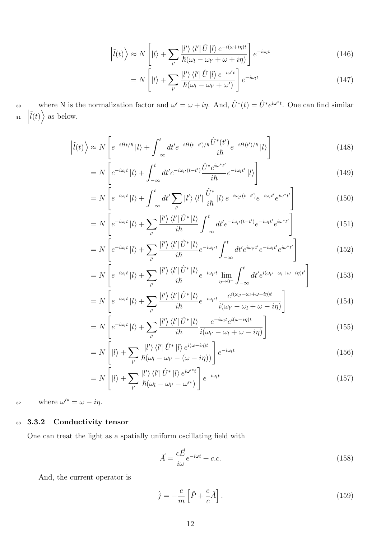$$
\left|\tilde{l}(t)\right\rangle \approx N\left[|l\rangle + \sum_{l'} \frac{|l'\rangle \left\langle l'| \hat{U} |l\rangle e^{-i(\omega + i\eta)t} \right\rangle}{\hbar(\omega_l - \omega_{l'} + \omega + i\eta)}\right] e^{-i\omega_l t}
$$
\n(146)

$$
= N\left[|l\rangle + \sum_{l'} \frac{|l'\rangle \langle l'| \hat{U} |l\rangle e^{-i\omega' t}}{\hbar(\omega_l - \omega_{l'} + \omega')} \right] e^{-i\omega_l t}
$$
\n(147)

so where N is the normalization factor and  $\omega' = \omega + i\eta$ . And,  $\hat{U}^*(t) = \hat{U}^* e^{i\omega^*t}$ . One can find similar  $\left|\tilde{l}(t)\right\rangle$  as below.

$$
\left|\tilde{l}(t)\right\rangle \approx N\left[e^{-i\hat{H}t/\hbar}|l\rangle + \int_{-\infty}^{t} dt' e^{-i\hat{H}(t-t')/\hbar} \frac{\hat{U}^*(t')}{i\hbar} e^{-i\hat{H}(t')/\hbar}|l\rangle\right]
$$
\n(148)

$$
=N\left[e^{-i\omega_l t}|l\rangle + \int_{-\infty}^t dt' e^{-i\omega_{l'}(t-t')} \frac{\hat{U}^* e^{i\omega^* t'}}{i\hbar} e^{-i\omega_l t'}|l\rangle\right]
$$
(149)

$$
=N\left[e^{-i\omega_l t}|l\rangle + \int_{-\infty}^t dt' \sum_{l'}|l'\rangle\langle l'|\frac{\hat{U}^*}{i\hbar}|l\rangle e^{-i\omega_{l'}(t-t')}e^{-i\omega_l t'}e^{i\omega^*t'}\right]
$$
(150)

$$
=N\left[e^{-i\omega_l t}|l\rangle+\sum_{l'}\frac{|l'\rangle\langle l'|\hat{U}^*|l\rangle}{i\hbar}\int_{-\infty}^t dt'e^{-i\omega_{l'}(t-t')}e^{-i\omega_l t'}e^{i\omega^*t'}\right]
$$
(151)

$$
=N\left[e^{-i\omega_l t}|l\rangle+\sum_{l'}\frac{|l'\rangle\langle l'|\hat{U}^*|l\rangle}{i\hbar}e^{-i\omega_{l'}t}\int_{-\infty}^t dt' e^{i\omega_{l'}t'}e^{-i\omega_l t'}e^{i\omega^*t'}\right]
$$
(152)

$$
=N\left[e^{-i\omega_l t}|l\rangle+\sum_{l'}\frac{|l'\rangle\langle l'|\hat{U}^*|l\rangle}{i\hbar}e^{-i\omega_{l'}t}\lim_{\eta\to 0^-}\int_{-\infty}^t dt' e^{i(\omega_{l'}-\omega_l+\omega-i\eta)t'}\right]
$$
(153)

$$
=N\left[e^{-i\omega_l t}|l\rangle+\sum_{l'}\frac{|l'\rangle\langle l'|\hat{U}^*|l\rangle}{i\hbar}e^{-i\omega_{l'}t}\frac{e^{i(\omega_{l'}-\omega_l+\omega-i\eta)t}}{i(\omega_{l'}-\omega_l+\omega-i\eta)}\right]
$$
(154)

$$
=N\left[e^{-i\omega_l t}|l\rangle+\sum_{l'}\frac{|l'\rangle\langle l'|\hat{U}^*|l\rangle}{i\hbar}\frac{e^{-i\omega_l t}e^{i(\omega-i\eta)t}}{i(\omega_{l'}-\omega_l+\omega-i\eta)}\right]
$$
(155)

$$
= N\left[|l\rangle + \sum_{l'} \frac{|l'\rangle \langle l'| \hat{U}^* |l\rangle e^{i(\omega - i\eta)t}}{\hbar(\omega_l - \omega_{l'} - (\omega - i\eta))}\right] e^{-i\omega_l t}
$$
\n(156)

$$
= N\left[|l\rangle + \sum_{l'} \frac{|l'\rangle \langle l'| \hat{U}^* |l\rangle e^{i\omega'^*t}}{\hbar(\omega_l - \omega_{l'} - \omega'^*)} \right] e^{-i\omega_l t} \tag{157}
$$

 $\omega$  where  $\omega'^* = \omega - i\eta$ .

### 83 3.3.2 Conductivity tensor

One can treat the light as a spatially uniform oscillating field with

$$
\vec{A} = \frac{c\vec{E}}{i\omega}e^{-i\omega t} + c.c.
$$
\n(158)

And, the current operator is

$$
\hat{j} = -\frac{e}{m} \left[ \hat{P} + \frac{e}{c} \hat{A} \right].
$$
\n(159)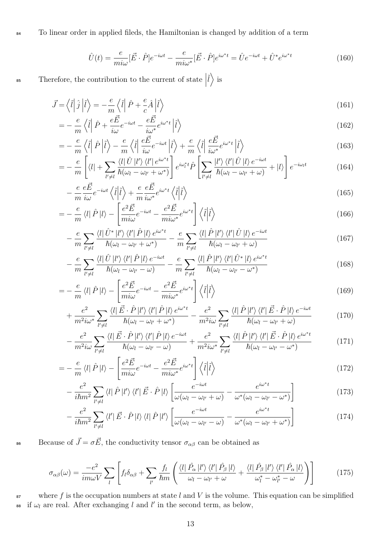84 To linear order in applied fileds, the Hamiltonian is changed by addition of a term

$$
\hat{U}(t) = \frac{e}{mi\omega} [\vec{E} \cdot \hat{P}] e^{-i\omega t} - \frac{e}{mi\omega^*} [\vec{E} \cdot \hat{P}] e^{i\omega^* t} = \hat{U} e^{-i\omega t} + \hat{U}^* e^{i\omega^* t}
$$
\n(160)

Therefore, the contribution to the current of state  $\Big|$ <sup>85</sup> Therefore, the contribution to the current of state  $|\tilde{l}\rangle$  is

$$
\vec{J} = \left\langle \hat{l} \right| \hat{j} \left| \hat{l} \right\rangle = -\frac{e}{m} \left\langle \hat{l} \right| \hat{P} + \frac{e}{c} \hat{A} \left| \hat{l} \right\rangle \tag{161}
$$

$$
= -\frac{e}{m}\left\langle \tilde{l} \right| \hat{P} + \frac{e\vec{E}}{i\omega}e^{-i\omega t} - \frac{e\vec{E}}{i\omega^*}e^{i\omega^*t} \left| \tilde{l} \right\rangle \tag{162}
$$

$$
= -\frac{e}{m}\left\langle \tilde{l} \right| \hat{P} \left| \tilde{l} \right\rangle - \frac{e}{m}\left\langle \tilde{l} \right| \frac{e\vec{E}}{i\omega} e^{-i\omega t} \left| \tilde{l} \right\rangle + \frac{e}{m}\left\langle \tilde{l} \right| \frac{e\vec{E}}{i\omega^*} e^{i\omega^*t} \left| \tilde{l} \right\rangle \tag{163}
$$

$$
= -\frac{e}{m} \left[ \langle l| + \sum_{l'\neq l} \frac{\langle l| \hat{U} | l' \rangle \langle l' | e^{i\omega^* t}}{\hbar(\omega_l - \omega_{l'} + \omega^*)} \right] e^{i\omega_l^* t} \hat{P} \left[ \sum_{l'\neq l} \frac{|l'\rangle \langle l'| \hat{U} | l \rangle e^{-i\omega t}}{\hbar(\omega_l - \omega_{l'} + \omega)} + |l\rangle \right] e^{-i\omega_l t} \tag{164}
$$

$$
-\frac{e}{m}\frac{e\vec{E}}{i\omega}e^{-i\omega t}\left\langle \hat{l}|\hat{l}\right\rangle +\frac{e}{m}\frac{e\vec{E}}{i\omega^*}e^{i\omega^*t}\left\langle \hat{l}|\hat{l}\right\rangle \tag{165}
$$

$$
= -\frac{e}{m} \langle l | \hat{P} | l \rangle - \left[ \frac{e^2 \vec{E}}{m i \omega} e^{-i \omega t} - \frac{e^2 \vec{E}}{m i \omega^*} e^{i \omega^* t} \right] \langle \tilde{l} | \tilde{l} \rangle \tag{166}
$$

$$
-\frac{e}{m}\sum_{l'\neq l}\frac{\langle l|\hat{U}^*|l'\rangle\langle l'|\hat{P}|l\rangle e^{i\omega^*t}}{\hbar(\omega_l-\omega_{l'}+\omega^*)}-\frac{e}{m}\sum_{l'\neq l}\frac{\langle l|\hat{P}|l'\rangle\langle l'|\hat{U}|l\rangle e^{-i\omega t}}{\hbar(\omega_l-\omega_{l'}+\omega)}\tag{167}
$$

$$
-\frac{e}{m}\sum_{l'\neq l}\frac{\langle l|\hat{U}|l'\rangle\langle l'|\hat{P}|l\rangle e^{-i\omega t}}{\hbar(\omega_l-\omega_{l'}-\omega)}-\frac{e}{m}\sum_{l'\neq l}\frac{\langle l|\hat{P}|l'\rangle\langle l'|\hat{U}^*|l\rangle e^{i\omega^*t}}{\hbar(\omega_l-\omega_{l'}-\omega^*)}
$$
(168)

$$
= -\frac{e}{m} \langle l | \hat{P} | l \rangle - \left[ \frac{e^2 \vec{E}}{m i \omega} e^{-i \omega t} - \frac{e^2 \vec{E}}{m i \omega^*} e^{i \omega^* t} \right] \langle \tilde{l} | \tilde{l} \rangle \tag{169}
$$

$$
+\frac{e^2}{m^2i\omega^*}\sum_{l'\neq l}\frac{\langle l|\vec{E}\cdot\hat{P}\,|l'\rangle\,\langle l'|\hat{P}\,|l\rangle\,e^{i\omega^*t}}{\hbar(\omega_l-\omega_{l'}+\omega^*)}-\frac{e^2}{m^2i\omega}\sum_{l'\neq l}\frac{\langle l|\hat{P}\,|l'\rangle\,\langle l'|\vec{E}\cdot\hat{P}\,|l\rangle\,e^{-i\omega t}}{\hbar(\omega_l-\omega_{l'}+\omega)}\tag{170}
$$

$$
-\frac{e^2}{m^2 i \omega} \sum_{l'\neq l} \frac{\langle l | \vec{E} \cdot \hat{P} | l' \rangle \langle l' | \hat{P} | l \rangle e^{-i\omega t}}{\hbar (\omega_l - \omega_{l'} - \omega)} + \frac{e^2}{m^2 i \omega^*} \sum_{l'\neq l} \frac{\langle l | \hat{P} | l' \rangle \langle l' | \vec{E} \cdot \hat{P} | l \rangle e^{i\omega^* t}}{\hbar (\omega_l - \omega_{l'} - \omega^*)}
$$
(171)

$$
= -\frac{e}{m} \langle l | \hat{P} | l \rangle - \left[ \frac{e^2 \vec{E}}{m i \omega} e^{-i \omega t} - \frac{e^2 \vec{E}}{m i \omega^*} e^{i \omega^* t} \right] \langle \tilde{l} | \tilde{l} \rangle
$$
\n
$$
e^2 \longrightarrow e^2 \qquad \qquad [ \qquad e^{-i \omega t} \qquad e^{i \omega^* t} \qquad 1
$$
\n(172)

$$
-\frac{e^2}{i\hbar m^2}\sum_{l'\neq l}\langle l|\,\hat{P}\,|l'\rangle\,\langle l'|\,\vec{E}\cdot\hat{P}\,|l\rangle\left[\frac{e^{-i\omega t}}{\omega(\omega_l-\omega_{l'}+\omega)}-\frac{e^{i\omega^*t}}{\omega^*(\omega_l-\omega_{l'}-\omega^*)}\right]
$$
(173)

$$
-\frac{e^2}{i\hbar m^2}\sum_{l'\neq l}\langle l'|\vec{E}\cdot\hat{P}|l\rangle\langle l|\hat{P}|l'\rangle\left[\frac{e^{-i\omega t}}{\omega(\omega_l-\omega_{l'}-\omega)}-\frac{e^{i\omega^*t}}{\omega^*(\omega_l-\omega_{l'}+\omega^*)}\right]
$$
(174)

Because of  $\vec{J} = \sigma \vec{E}$ , the conductivity tensor  $\sigma_{\alpha\beta}$  can be obtained as

$$
\sigma_{\alpha\beta}(\omega) = \frac{-e^2}{im\omega V} \sum_{l} \left[ f_l \delta_{\alpha\beta} + \sum_{l'} \frac{f_l}{\hbar m} \left( \frac{\langle l | \hat{P}_{\alpha} | l' \rangle \langle l' | \hat{P}_{\beta} | l \rangle}{\omega_l - \omega_{l'} + \omega} + \frac{\langle l | \hat{P}_{\beta} | l' \rangle \langle l' | \hat{P}_{\alpha} | l \rangle}{\omega_l^* - \omega_{l'}^* - \omega} \right) \right]
$$
(175)

 $\mathbf{s}$  where f is the occupation numbers at state l and V is the volume. This equation can be simplified <sup>88</sup> if  $\omega_l$  are real. After exchanging l and l' in the second term, as below,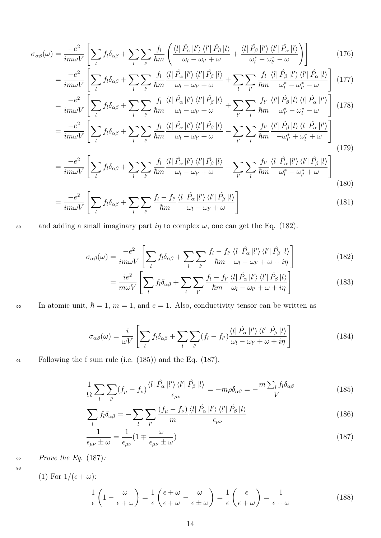$$
\sigma_{\alpha\beta}(\omega) = \frac{-e^2}{im\omega V} \left[ \sum_l f_l \delta_{\alpha\beta} + \sum_l \sum_{l'} \frac{f_l}{\hbar m} \left( \frac{\langle l | \hat{P}_{\alpha} | l' \rangle \langle l' | \hat{P}_{\beta} | l \rangle}{\omega_l - \omega_{l'} + \omega} + \frac{\langle l | \hat{P}_{\beta} | l' \rangle \langle l' | \hat{P}_{\alpha} | l \rangle}{\omega_l^* - \omega_{l'}^* - \omega} \right) \right]
$$
(176)

$$
= \frac{-e^2}{im\omega V} \left[ \sum_l f_l \delta_{\alpha\beta} + \sum_l \sum_{l'} \frac{f_l}{\hbar m} \frac{\langle l | \hat{P}_{\alpha} | l' \rangle \langle l' | \hat{P}_{\beta} | l \rangle}{\omega_l - \omega_{l'} + \omega} + \sum_l \sum_{l'} \frac{f_l}{\hbar m} \frac{\langle l | \hat{P}_{\beta} | l' \rangle \langle l' | \hat{P}_{\alpha} | l \rangle}{\omega_l^* - \omega_{l'}^* - \omega} \right] (177)
$$

$$
= \frac{-e^2}{im\omega V} \left[ \sum_l f_l \delta_{\alpha\beta} + \sum_l \sum_{l'} \frac{f_l}{\hbar m} \frac{\langle l | \hat{P}_{\alpha} | l' \rangle \langle l' | \hat{P}_{\beta} | l \rangle}{\omega_l - \omega_{l'} + \omega} + \sum_{l'} \sum_l \frac{f_{l'}}{\hbar m} \frac{\langle l | \hat{P}_{\beta} | l \rangle \langle l | \hat{P}_{\beta} | l \rangle}{\omega_{l'}^* - \omega_l^* - \omega_l^*} \right] (178)
$$

$$
= \frac{-e^2}{im\omega V} \left[ \sum_l f_l \delta_{\alpha\beta} + \sum_l \sum_{l'} \frac{f_l}{\hbar m} \frac{\langle l | \hat{P}_{\alpha} | l' \rangle \langle l' | \hat{P}_{\beta} | l \rangle}{\omega_l - \omega_{l'} + \omega} - \sum_{l'} \sum_l \frac{f_{l'}}{\hbar m} \frac{\langle l' | \hat{P}_{\beta} | l \rangle \langle l | \hat{P}_{\alpha} | l' \rangle}{-\omega_{l'}^* + \omega_l^* + \omega} \right]
$$

$$
-\frac{1}{im\omega V}\left[\sum_{l}J^{lo}\alpha\beta+\sum_{l}\sum_{l'}\overline{h}m\overline{\omega_{l}-\omega_{l'}+\omega}-\sum_{l'}\sum_{l}\overline{h}m\overline{-\omega_{l'}^{*}+\omega_{l}^{*}+\omega}\right]
$$
\n(179)

$$
=\frac{-e^2}{im\omega V}\left[\sum_{l}f_l\delta_{\alpha\beta}+\sum_{l}\sum_{l'}\frac{f_l}{\hbar m}\frac{\langle l|\hat{P}_{\alpha}|l'\rangle\langle l'|\hat{P}_{\beta}|l\rangle}{\omega_l-\omega_{l'}+\omega}-\sum_{l'}\sum_{l}\frac{f_{l'}}{\hbar m}\frac{\langle l|\hat{P}_{\alpha}|l'\rangle\langle l'|\hat{P}_{\beta}|l\rangle}{\omega_l^*-\omega_{l'}^*+\omega}\right]
$$
(180)

$$
=\frac{-e^2}{im\omega V}\left[\sum_l f_l \delta_{\alpha\beta} + \sum_l \sum_{l'} \frac{f_l - f_{l'}}{\hbar m} \frac{\langle l | \hat{P}_{\alpha} | l' \rangle \langle l' | \hat{P}_{\beta} | l \rangle}{\omega_l - \omega_{l'} + \omega}\right]
$$
(181)

89 and adding a small imaginary part  $i\eta$  to complex  $\omega$ , one can get the Eq. (182).

$$
\sigma_{\alpha\beta}(\omega) = \frac{-e^2}{im\omega V} \left[ \sum_l f_l \delta_{\alpha\beta} + \sum_l \sum_{l'} \frac{f_l - f_{l'}}{\hbar m} \frac{\langle l | \hat{P}_{\alpha} | l' \rangle \langle l' | \hat{P}_{\beta} | l \rangle}{\omega_l - \omega_{l'} + \omega + i\eta} \right]
$$
(182)

$$
= \frac{ie^2}{m\omega V} \left[ \sum_{l} f_l \delta_{\alpha\beta} + \sum_{l} \sum_{l'} \frac{f_l - f_{l'}}{\hbar m} \frac{\langle l | \hat{P}_{\alpha} | l' \rangle \langle l' | \hat{P}_{\beta} | l \rangle}{\omega_l - \omega_{l'} + \omega + i\eta} \right]
$$
(183)

90 In atomic unit,  $\hbar = 1$ ,  $m = 1$ , and  $e = 1$ . Also, conductivity tensor can be written as

$$
\sigma_{\alpha\beta}(\omega) = \frac{i}{\omega V} \left[ \sum_{l} f_l \delta_{\alpha\beta} + \sum_{l} \sum_{l'} (f_l - f_{l'}) \frac{\langle l | \hat{P}_{\alpha} | l' \rangle \langle l' | \hat{P}_{\beta} | l \rangle}{\omega_l - \omega_{l'} + \omega + i\eta} \right]
$$
(184)

<sup>91</sup> Following the f sum rule (i.e. (185)) and the Eq. (187),

$$
\frac{1}{\Omega} \sum_{l} \sum_{l'} (f_{\mu} - f_{\nu}) \frac{\langle l | \hat{P}_{\alpha} | l' \rangle \langle l' | \hat{P}_{\beta} | l \rangle}{\epsilon_{\mu\nu}} = -m\rho \delta_{\alpha\beta} = -\frac{m \sum_{l} f_{l} \delta_{\alpha\beta}}{V}
$$
(185)

$$
\sum_{l} f_l \delta_{\alpha\beta} = -\sum_{l} \sum_{l'} \frac{\left(f_{\mu} - f_{\nu}\right)}{m} \frac{\left\langle l \right| \hat{P}_{\alpha} \left| l' \right\rangle \left\langle l' \right| \hat{P}_{\beta} \left| l \right\rangle}{\epsilon_{\mu\nu}} \tag{186}
$$

$$
\frac{1}{\epsilon_{\mu\nu} \pm \omega} = \frac{1}{\epsilon_{\mu\nu}} (1 \mp \frac{\omega}{\epsilon_{\mu\nu} \pm \omega})
$$
(187)

 $Prove the Eq. (187):$ 

$$
^{93}
$$

(1) For 
$$
1/(\epsilon + \omega)
$$
:

$$
\frac{1}{\epsilon} \left( 1 - \frac{\omega}{\epsilon + \omega} \right) = \frac{1}{\epsilon} \left( \frac{\epsilon + \omega}{\epsilon + \omega} - \frac{\omega}{\epsilon + \omega} \right) = \frac{1}{\epsilon} \left( \frac{\epsilon}{\epsilon + \omega} \right) = \frac{1}{\epsilon + \omega} \tag{188}
$$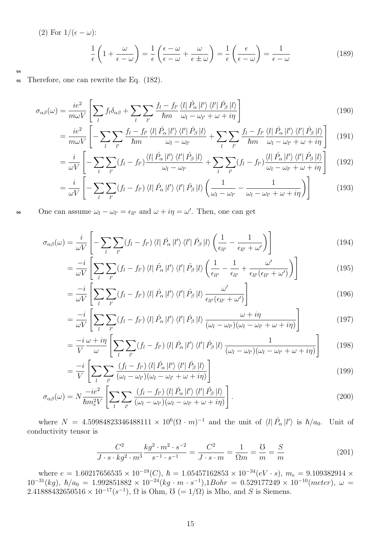(2) For 
$$
1/(\epsilon - \omega)
$$
:  
\n
$$
\frac{1}{\epsilon} \left( 1 + \frac{\omega}{\epsilon - \omega} \right) = \frac{1}{\epsilon} \left( \frac{\epsilon - \omega}{\epsilon - \omega} + \frac{\omega}{\epsilon \pm \omega} \right) = \frac{1}{\epsilon} \left( \frac{\epsilon}{\epsilon - \omega} \right) = \frac{1}{\epsilon - \omega}
$$
\n(189)

94

<sup>95</sup> Therefore, one can rewrite the Eq. (182).

$$
\sigma_{\alpha\beta}(\omega) = \frac{ie^2}{m\omega V} \left[ \sum_{l} f_l \delta_{\alpha\beta} + \sum_{l} \sum_{l'} \frac{f_l - f_{l'}}{\hbar m} \frac{\langle l | \hat{P}_{\alpha} | l' \rangle \langle l' | \hat{P}_{\beta} | l \rangle}{\omega_l - \omega_{l'} + \omega + i\eta} \right]
$$
(190)

$$
= \frac{ie^2}{m\omega V} \left[ -\sum_{l} \sum_{l'} \frac{f_l - f_{l'}}{\hbar m} \frac{\langle l | \hat{P}_{\alpha} | l' \rangle \langle l' | \hat{P}_{\beta} | l \rangle}{\omega_l - \omega_{l'}} + \sum_{l} \sum_{l'} \frac{f_l - f_{l'}}{\hbar m} \frac{\langle l | \hat{P}_{\alpha} | l' \rangle \langle l' | \hat{P}_{\beta} | l \rangle}{\omega_l - \omega_{l'} + \omega + i\eta} \right] \tag{191}
$$

$$
= \frac{i}{\omega V} \left[ -\sum_{l} \sum_{l'} (f_l - f_{l'}) \frac{\langle l | \hat{P}_{\alpha} | l' \rangle \langle l' | \hat{P}_{\beta} | l \rangle}{\omega_l - \omega_{l'}} + \sum_{l} \sum_{l'} (f_l - f_{l'}) \frac{\langle l | \hat{P}_{\alpha} | l' \rangle \langle l' | \hat{P}_{\beta} | l \rangle}{\omega_l - \omega_{l'} + \omega + i\eta} \right] \tag{192}
$$

$$
= \frac{i}{\omega V} \left[ -\sum_{l} \sum_{l'} (f_l - f_{l'}) \langle l | \hat{P}_{\alpha} | l' \rangle \langle l' | \hat{P}_{\beta} | l \rangle \left( \frac{1}{\omega_l - \omega_{l'}} - \frac{1}{\omega_l - \omega_{l'} + \omega + i\eta} \right) \right]
$$
(193)

96 One can assume  $\omega_l - \omega_{l'} = \epsilon_{ll'}$  and  $\omega + i\eta = \omega'$ . Then, one can get

$$
\sigma_{\alpha\beta}(\omega) = \frac{i}{\omega V} \left[ -\sum_{l} \sum_{l'} (f_l - f_{l'}) \langle l | \hat{P}_{\alpha} | l' \rangle \langle l' | \hat{P}_{\beta} | l \rangle \left( \frac{1}{\epsilon_{ll'}} - \frac{1}{\epsilon_{ll'} + \omega'} \right) \right]
$$
(194)

$$
= \frac{-i}{\omega V} \left[ \sum_{l} \sum_{l'} (f_l - f_{l'}) \langle l | \hat{P}_{\alpha} | l' \rangle \langle l' | \hat{P}_{\beta} | l \rangle \left( \frac{1}{\epsilon_{ll'}} - \frac{1}{\epsilon_{ll'}} + \frac{\omega'}{\epsilon_{ll'}(\epsilon_{ll'} + \omega')} \right) \right]
$$
(195)

$$
= \frac{-i}{\omega V} \left[ \sum_{l} \sum_{l'} (f_l - f_{l'}) \langle l | \hat{P}_{\alpha} | l' \rangle \langle l' | \hat{P}_{\beta} | l \rangle \frac{\omega'}{\epsilon_{ll'}(\epsilon_{ll'} + \omega')} \right]
$$
(196)

$$
= \frac{-i}{\omega V} \left[ \sum_{l} \sum_{l'} (f_l - f_{l'}) \langle l | \hat{P}_{\alpha} | l' \rangle \langle l' | \hat{P}_{\beta} | l \rangle \frac{\omega + i\eta}{(\omega_l - \omega_{l'}) (\omega_l - \omega_{l'} + \omega + i\eta)} \right]
$$
(197)

$$
= \frac{-i\omega + i\eta}{V} \left[ \sum_{l} \sum_{l'} (f_l - f_{l'}) \langle l | \hat{P}_{\alpha} | l' \rangle \langle l' | \hat{P}_{\beta} | l \rangle \frac{1}{(\omega_l - \omega_{l'}) (\omega_l - \omega_{l'} + \omega + i\eta)} \right]
$$
(198)

$$
= \frac{-i}{V} \left[ \sum_{l} \sum_{l'} \frac{(f_l - f_{l'}) \langle l | \hat{P}_{\alpha} | l' \rangle \langle l' | \hat{P}_{\beta} | l \rangle}{(\omega_l - \omega_{l'}) (\omega_l - \omega_{l'} + \omega + i\eta)} \right]
$$
(199)

$$
\sigma_{\alpha\beta}(\omega) = N \frac{-ie^2}{\hbar m_e^2 V} \left[ \sum_l \sum_{l'} \frac{(f_l - f_{l'}) \langle l | \hat{P}_{\alpha} | l' \rangle \langle l' | \hat{P}_{\beta} | l \rangle}{(\omega_l - \omega_{l'}) (\omega_l - \omega_{l'} + \omega + i\eta)} \right]. \tag{200}
$$

where  $N = 4.59984823346488111 \times 10^6 (\Omega \cdot m)^{-1}$  and the unit of  $\langle l | \hat{P}_{\alpha} | l' \rangle$  is  $\hbar/a_0$ . Unit of conductivity tensor is

$$
\frac{C^2}{J \cdot s \cdot kg^2 \cdot m^3} \frac{kg^2 \cdot m^2 \cdot s^{-2}}{s^{-1} \cdot s^{-1}} = \frac{C^2}{J \cdot s \cdot m} = \frac{1}{\Omega m} = \frac{S}{m} = \frac{S}{m}
$$
(201)

where  $e = 1.60217656535 \times 10^{-19}(C)$ ,  $\hbar = 1.05457162853 \times 10^{-34}(eV \cdot s)$ ,  $m_e = 9.109382914 \times$  $10^{-31}(kg)$ ,  $\hbar/a_0 = 1.992851882 \times 10^{-24}(kg \cdot m \cdot s^{-1}), 1Bohr = 0.529177249 \times 10^{-10}(meter), \omega =$ 2.41888432650516 ×  $10^{-17}(s^{-1})$ ,  $\Omega$  is Ohm,  $\mathcal{O}$  (=  $1/\Omega$ ) is Mho, and S is Siemens.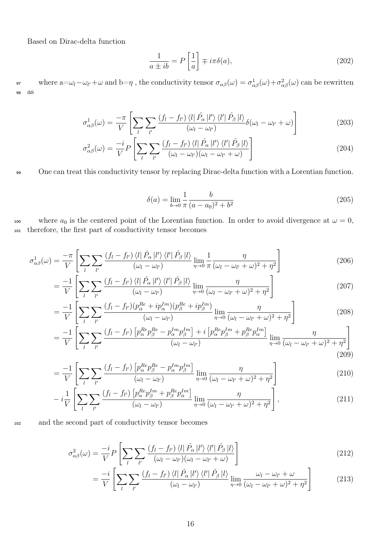Based on Dirac-delta function

$$
\frac{1}{a \pm ib} = P\left[\frac{1}{a}\right] \mp i\pi\delta(a),\tag{202}
$$

or where  $a = ω_l - ω_{l'} + ω$  and  $b = η$ , the conductivity tensor  $\sigma_{\alpha\beta}(\omega) = \sigma_{\alpha\beta}^1(\omega) + \sigma_{\alpha\beta}^2(\omega)$  can be rewritten <sup>98</sup> as

$$
\sigma_{\alpha\beta}^1(\omega) = \frac{-\pi}{V} \left[ \sum_l \sum_{l'} \frac{\left(f_l - f_{l'}\right) \langle l \right| \hat{P}_{\alpha} \left| l' \right\rangle \langle l' \right| \hat{P}_{\beta} \left| l \right\rangle}{\left(\omega_l - \omega_{l'}\right)} \delta(\omega_l - \omega_{l'} + \omega) \right]
$$
(203)

$$
\sigma_{\alpha\beta}^2(\omega) = \frac{-i}{V} P \left[ \sum_l \sum_{l'} \frac{\left(f_l - f_{l'}\right) \langle l | \hat{P}_{\alpha} | l' \rangle \langle l' | \hat{P}_{\beta} | l \rangle}{\left(\omega_l - \omega_{l'}\right)\left(\omega_l - \omega_{l'} + \omega\right)} \right]
$$
(204)

99 One can treat this conductivity tensor by replacing Dirac-delta function with a Lorentian function.

$$
\delta(a) = \lim_{b \to 0} \frac{1}{\pi} \frac{b}{(a - a_0)^2 + b^2} \tag{205}
$$

100 where  $a_0$  is the centered point of the Lorentian function. In order to avoid divergence at  $\omega = 0$ , <sup>101</sup> therefore, the first part of conductivity tensor becomes

$$
\sigma_{\alpha\beta}^1(\omega) = \frac{-\pi}{V} \left[ \sum_l \sum_{l'} \frac{\left(f_l - f_{l'}\right) \langle l \right| \hat{P}_{\alpha} \left| l' \right\rangle \langle l' \right| \hat{P}_{\beta} \left| l \right\rangle}{\left(\omega_l - \omega_{l'}\right)} \lim_{\eta \to 0} \frac{1}{\pi} \frac{\eta}{\left(\omega_l - \omega_{l'} + \omega\right)^2 + \eta^2} \right] \tag{206}
$$

$$
= \frac{-1}{V} \left[ \sum_{l} \sum_{l'} \frac{\left( f_l - f_{l'} \right) \langle l | \hat{P}_{\alpha} | l' \rangle \langle l' | \hat{P}_{\beta} | l \rangle}{\left( \omega_l - \omega_{l'} \right)} \lim_{\eta \to 0} \frac{\eta}{\left( \omega_l - \omega_{l'} + \omega \right)^2 + \eta^2} \right] \tag{207}
$$

$$
= \frac{-1}{V} \left[ \sum_{l} \sum_{l'} \frac{(f_l - f_{l'})(p_\alpha^{Re} + ip_\alpha^{Im})(p_\beta^{Re} + ip_\beta^{Im})}{(\omega_l - \omega_{l'})} \lim_{\eta \to 0} \frac{\eta}{(\omega_l - \omega_{l'} + \omega)^2 + \eta^2} \right]
$$
(208)

$$
= \frac{-1}{V} \left[ \sum_{l} \sum_{l'} \frac{(f_l - f_{l'}) \left[ p_{\alpha}^{Re} p_{\beta}^{Re} - p_{\alpha}^{Im} p_{\beta}^{Im} \right] + i \left[ p_{\alpha}^{Re} p_{\beta}^{Im} + p_{\beta}^{Re} p_{\alpha}^{Im} \right]}{(\omega_l - \omega_{l'})} \lim_{\eta \to 0} \frac{\eta}{(\omega_l - \omega_{l'} + \omega)^2 + \eta^2} \right]
$$
(209)

$$
= \frac{-1}{V} \left[ \sum_{l} \sum_{l'} \frac{(f_l - f_{l'}) \left[ p_\alpha^{Re} p_\beta^{Re} - p_\alpha^{Im} p_\beta^{Im} \right]}{(\omega_l - \omega_{l'})} \lim_{\eta \to 0} \frac{\eta}{(\omega_l - \omega_{l'} + \omega)^2 + \eta^2} \right]
$$
(210)

$$
-i\frac{1}{V}\left[\sum_{l}\sum_{l'}\frac{(f_l-f_{l'})\left[p_{\alpha}^{Re}p_{\beta}^{Im}+p_{\beta}^{Re}p_{\alpha}^{Im}\right]}{(\omega_l-\omega_{l'})}\lim_{\eta\to 0}\frac{\eta}{(\omega_l-\omega_{l'}+\omega)^2+\eta^2}\right],\tag{211}
$$

<sup>102</sup> and the second part of conductivity tensor becomes

$$
\sigma_{\alpha\beta}^2(\omega) = \frac{-i}{V} P \left[ \sum_l \sum_{l'} \frac{(f_l - f_{l'}) \langle l | \hat{P}_{\alpha} | l' \rangle \langle l' | \hat{P}_{\beta} | l \rangle}{(\omega_l - \omega_{l'}) (\omega_l - \omega_{l'} + \omega)} \right]
$$
(212)

$$
= \frac{-i}{V} \left[ \sum_{l} \sum_{l'} \frac{\left( f_l - f_{l'} \right) \langle l | \hat{P}_{\alpha} | l' \rangle \langle l' | \hat{P}_{\beta} | l \rangle}{\left( \omega_l - \omega_{l'} \right)} \lim_{\eta \to 0} \frac{\omega_l - \omega_{l'} + \omega}{\left( \omega_l - \omega_{l'} + \omega \right)^2 + \eta^2} \right] \tag{213}
$$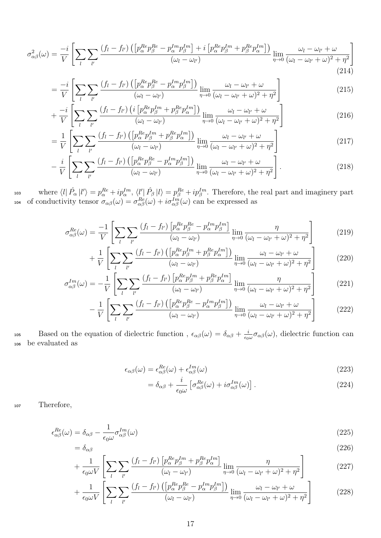$$
\sigma_{\alpha\beta}^{2}(\omega) = \frac{-i}{V} \left[ \sum_{l} \sum_{l'} \frac{(f_{l} - f_{l'}) \left( \left[ p_{\alpha}^{Re} p_{\beta}^{Re} - p_{\alpha}^{Im} p_{\beta}^{Im} \right] + i \left[ p_{\alpha}^{Re} p_{\beta}^{Im} + p_{\beta}^{Re} p_{\alpha}^{Im} \right] \right)}{(\omega_{l} - \omega_{l'})} \lim_{\eta \to 0} \frac{\omega_{l} - \omega_{l'} + \omega}{(\omega_{l} - \omega_{l'} + \omega)^{2} + \eta^{2}} \right]
$$
\n(214)

$$
= \frac{-i}{V} \left[ \sum_{l} \sum_{l'} \frac{(f_l - f_{l'}) \left( \left[ p_\alpha^{Re} p_\beta^{Re} - p_\alpha^{Im} p_\beta^{Im} \right] \right)}{(\omega_l - \omega_{l'})} \lim_{\eta \to 0} \frac{\omega_l - \omega_{l'} + \omega}{(\omega_l - \omega_{l'} + \omega)^2 + \eta^2} \right] \tag{215}
$$

$$
+\frac{-i}{V}\left[\sum_{l}\sum_{l'}\frac{(f_l-f_{l'})\left(i\left[p^{Re}_{\alpha}p^{Im}_{\beta}+p^{Re}_{\beta}p^{Im}_{\alpha}\right]\right)}{(\omega_l-\omega_{l'})}\lim_{\eta\to 0}\frac{\omega_l-\omega_{l'}+\omega}{(\omega_l-\omega_{l'}+\omega)^2+\eta^2}\right]
$$
(216)

$$
= \frac{1}{V} \left[ \sum_{l} \sum_{l'} \frac{(f_l - f_{l'}) \left( \left[ p_\alpha^{Re} p_\beta^{Im} + p_\beta^{Re} p_\alpha^{Im} \right] \right)}{(\omega_l - \omega_{l'})} \lim_{\eta \to 0} \frac{\omega_l - \omega_{l'} + \omega}{(\omega_l - \omega_{l'} + \omega)^2 + \eta^2} \right] \tag{217}
$$

$$
-\frac{i}{V}\left[\sum_{l}\sum_{l'}\frac{(f_l-f_{l'})\left(\left[p^{Re}_{\alpha}p^{Re}_{\beta}-p^{Im}_{\alpha}p^{Im}_{\beta}\right]\right)}{(\omega_l-\omega_{l'})}\lim_{\eta\to 0}\frac{\omega_l-\omega_{l'}+\omega}{(\omega_l-\omega_{l'}+\omega)^2+\eta^2}\right].
$$
\n(218)

103 where  $\langle l | \hat{P}_{\alpha} | l' \rangle = p_{\alpha}^{Re} + i p_{\alpha}^{Im}, \langle l' | \hat{P}_{\beta} | l \rangle = p_{\beta}^{Re} + i p_{\beta}^{Im}.$  Therefore, the real part and imaginery part 104 of conductivity tensor  $\sigma_{\alpha\beta}(\omega) = \sigma_{\alpha\beta}^{Re}(\omega) + i \sigma_{\alpha\beta}^{Im}(\omega)$  can be expressed as

$$
\sigma_{\alpha\beta}^{Re}(\omega) = \frac{-1}{V} \left[ \sum_{l} \sum_{l'} \frac{(f_l - f_{l'}) \left[ p_{\alpha}^{Re} p_{\beta}^{Re} - p_{\alpha}^{Im} p_{\beta}^{Im} \right]}{(\omega_l - \omega_{l'})} \lim_{\eta \to 0} \frac{\eta}{(\omega_l - \omega_{l'} + \omega)^2 + \eta^2} \right]
$$
(219)

$$
+\frac{1}{V}\left[\sum_{l}\sum_{l'}\frac{(f_l-f_{l'})\left(\left[p_{\alpha}^{Re}p_{\beta}^{Im}+p_{\beta}^{Re}p_{\alpha}^{Im}\right]\right)}{(\omega_l-\omega_{l'})}\lim_{\eta\to 0}\frac{\omega_l-\omega_{l'}+\omega}{(\omega_l-\omega_{l'}+\omega)^2+\eta^2}\right]
$$
(220)

$$
\sigma_{\alpha\beta}^{Im}(\omega) = -\frac{1}{V} \left[ \sum_{l} \sum_{l'} \frac{(f_l - f_{l'}) \left[ p_{\alpha}^{Re} p_{\beta}^{Im} + p_{\beta}^{Re} p_{\alpha}^{Im} \right]}{(\omega_l - \omega_{l'})} \lim_{\eta \to 0} \frac{\eta}{(\omega_l - \omega_{l'} + \omega)^2 + \eta^2} \right] \tag{221}
$$

$$
-\frac{1}{V}\left[\sum_{l}\sum_{l'}\frac{(f_l-f_{l'})\left(\left[p_{\alpha}^{Re}p_{\beta}^{Re}-p_{\alpha}^{Im}p_{\beta}^{Im}\right]\right)}{(\omega_l-\omega_{l'})}\lim_{\eta\to 0}\frac{\omega_l-\omega_{l'}+\omega}{(\omega_l-\omega_{l'}+\omega)^2+\eta^2}\right]
$$
(222)

Based on the equation of dielectric function,  $\epsilon_{\alpha\beta}(\omega) = \delta_{\alpha\beta} + \frac{i}{\epsilon_0}$ 105 Based on the equation of dielectric function,  $\epsilon_{\alpha\beta}(\omega) = \delta_{\alpha\beta} + \frac{i}{\epsilon_0 \omega} \sigma_{\alpha\beta}(\omega)$ , dielectric function can <sup>106</sup> be evaluated as

$$
\epsilon_{\alpha\beta}(\omega) = \epsilon_{\alpha\beta}^{Re}(\omega) + \epsilon_{\alpha\beta}^{Im}(\omega)
$$
\n(223)

$$
= \delta_{\alpha\beta} + \frac{i}{\epsilon_0 \omega} \left[ \sigma_{\alpha\beta}^{Re}(\omega) + i \sigma_{\alpha\beta}^{Im}(\omega) \right]. \tag{224}
$$

<sup>107</sup> Therefore,

$$
\epsilon_{\alpha\beta}^{Re}(\omega) = \delta_{\alpha\beta} - \frac{1}{\epsilon_0 \omega} \sigma_{\alpha\beta}^{Im}(\omega)
$$
\n(225)

$$
= \delta_{\alpha\beta} \tag{226}
$$

$$
+\frac{1}{\epsilon_0 \omega V} \left[ \sum_{l} \sum_{l'} \frac{(f_l - f_{l'}) \left[ p_\alpha^{Re} p_\beta^{Im} + p_\beta^{Re} p_\alpha^{Im} \right]}{(\omega_l - \omega_{l'})} \lim_{\eta \to 0} \frac{\eta}{(\omega_l - \omega_{l'} + \omega)^2 + \eta^2} \right]
$$
(227)

$$
+\frac{1}{\epsilon_0 \omega V} \left[ \sum_{l} \sum_{l'} \frac{(f_l - f_{l'}) \left( \left[ p_\alpha^{Re} p_\beta^{Re} - p_\alpha^{Im} p_\beta^{Im} \right] \right)}{(\omega_l - \omega_{l'})} \lim_{\eta \to 0} \frac{\omega_l - \omega_{l'} + \omega}{(\omega_l - \omega_{l'} + \omega)^2 + \eta^2} \right] \tag{228}
$$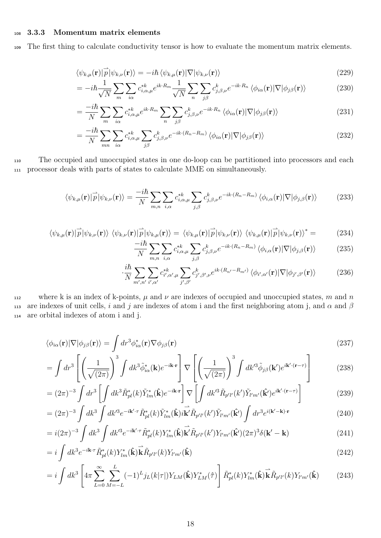#### <sup>108</sup> 3.3.3 Momentum matrix elements

<sup>109</sup> The first thing to calculate conductivity tensor is how to evaluate the momentum matrix elements.

$$
\langle \psi_{k,\mu}(\mathbf{r})|\overrightarrow{p}|\psi_{k,\nu}(\mathbf{r})\rangle = -i\hbar \langle \psi_{k,\mu}(\mathbf{r})|\nabla|\psi_{k,\nu}(\mathbf{r})\rangle
$$
\n(229)

$$
= -i\hbar \frac{1}{\sqrt{N}} \sum_{m} \sum_{i\alpha} c_{i,\alpha,\mu}^{*k} e^{ik \cdot R_m} \frac{1}{\sqrt{N}} \sum_{n} \sum_{j\beta} c_{j,\beta,\nu}^k e^{-ik \cdot R_n} \langle \phi_{i\alpha}(\mathbf{r}) | \nabla | \phi_{j\beta}(\mathbf{r}) \rangle \tag{230}
$$

$$
=\frac{-i\hbar}{N}\sum_{m}\sum_{i\alpha}c_{i,\alpha,\mu}^{*k}e^{ik\cdot R_{m}}\sum_{n}\sum_{j\beta}c_{j,\beta,\nu}^{k}e^{-ik\cdot R_{n}}\left\langle\phi_{i\alpha}(\mathbf{r})|\nabla|\phi_{j\beta}(\mathbf{r})\right\rangle
$$
\n(231)

$$
=\frac{-i\hbar}{N}\sum_{mn}\sum_{i\alpha}c_{i,\alpha,\mu}^{*k}\sum_{j\beta}c_{j,\beta,\nu}^{k}e^{-ik\cdot(R_{n}-R_{m})}\left\langle\phi_{i\alpha}(\mathbf{r})|\nabla|\phi_{j\beta}(\mathbf{r})\right\rangle
$$
\n(232)

<sup>110</sup> The occupied and unoccupied states in one do-loop can be partitioned into processors and each <sup>111</sup> processor deals with parts of states to calculate MME on simultaneously.

$$
\langle \psi_{k,\mu}(\mathbf{r})|\overrightarrow{p}|\psi_{k,\nu}(\mathbf{r})\rangle = \frac{-i\hbar}{N} \sum_{m,n} \sum_{i,\alpha} c_{i,\alpha,\mu}^{*k} \sum_{j,\beta} c_{j,\beta,\nu}^{k} e^{-ik \cdot (R_n - R_m)} \langle \phi_{i,\alpha}(\mathbf{r})|\nabla|\phi_{j,\beta}(\mathbf{r})\rangle \tag{233}
$$

$$
\langle \psi_{k,\mu}(\mathbf{r})|\overrightarrow{p}|\psi_{k,\nu}(\mathbf{r})\rangle \langle \psi_{k,\nu}(\mathbf{r})|\overrightarrow{p}|\psi_{k,\mu}(\mathbf{r})\rangle = \langle \psi_{k,\mu}(\mathbf{r})|\overrightarrow{p}|\psi_{k,\nu}(\mathbf{r})\rangle \langle \psi_{k,\mu}(\mathbf{r})|\overrightarrow{p}|\psi_{k,\nu}(\mathbf{r})\rangle^* = (234)
$$

$$
\frac{-i\hbar}{N} \sum_{m,n} \sum_{i,\alpha} c_{i,\alpha,\mu}^{*k} \sum_{j,\beta} c_{j,\beta,\nu}^k e^{-ik \cdot (R_n - R_m)} \langle \phi_{i,\alpha}(\mathbf{r}) | \nabla | \phi_{j,\beta}(\mathbf{r}) \rangle \tag{235}
$$

$$
\cdot \frac{i\hbar}{N} \sum_{m',n'} \sum_{i',\alpha'} c^{*k}_{i',\alpha',\mu} \sum_{j',\beta'} c^{k}_{j',\beta',\nu} e^{ik \cdot (R_{n'} - R_{m'})} \langle \phi_{i',\alpha'}(\mathbf{r}) | \nabla | \phi_{j',\beta'}(\mathbf{r}) \rangle \tag{236}
$$

112 where k is an index of k-points,  $\mu$  and  $\nu$  are indexes of occupied and unoccupied states, m and n 113 are indexes of unit cells, i and j are indexes of atom i and the first neighboring atom j, and  $\alpha$  and  $\beta$ <sup>114</sup> are orbital indexes of atom i and j.

$$
\langle \phi_{i\alpha}(\mathbf{r})|\nabla|\phi_{j\beta}(\mathbf{r})\rangle = \int dr^3 \phi_{i\alpha}^*(\mathbf{r})\nabla\phi_{j\beta}(\mathbf{r})
$$
\n(237)

$$
= \int dr^3 \left[ \left( \frac{1}{\sqrt{(2\pi)}} \right)^3 \int dk^3 \tilde{\phi}_{i\alpha}^*(\mathbf{k}) e^{-i\mathbf{k} \cdot \mathbf{r}} \right] \nabla \left[ \left( \frac{1}{\sqrt{(2\pi)}} \right)^3 \int dk'^3 \tilde{\phi}_{j\beta}(\mathbf{k}') e^{i\mathbf{k}' \cdot (\mathbf{r} - \tau)} \right]
$$
(238)

$$
= (2\pi)^{-3} \int dr^3 \left[ \int dk^3 \tilde{R}_{pl}^*(k) \tilde{Y}_{lm}^*(\hat{\mathbf{k}}) e^{-i\mathbf{k} \cdot \mathbf{r}} \right] \nabla \left[ \int dk'^3 \tilde{R}_{p'l'}(k') \tilde{Y}_{l'm'}(\hat{\mathbf{k}}') e^{i\mathbf{k'} \cdot (\mathbf{r} - \tau)} \right]
$$
(239)

$$
= (2\pi)^{-3} \int dk^3 \int dk'^3 e^{-i\mathbf{k}'\cdot\tau} \tilde{R}^*_{pl}(k) \tilde{Y}^*_{lm}(\hat{\mathbf{k}}) i\stackrel{\rightharpoonup}{\mathbf{k}'} \tilde{R}_{p'l'}(k') \tilde{Y}_{l'm'}(\hat{\mathbf{k}}') \int dr^3 e^{i(\mathbf{k}'-\mathbf{k})\cdot\mathbf{r}} \tag{240}
$$

$$
=i(2\pi)^{-3}\int dk^3\int dk'^3e^{-i\mathbf{k}'\cdot\tau}\tilde{R}^*_{pl}(k)Y^*_{lm}(\hat{\mathbf{k}})\dot{\mathbf{k}}'\tilde{R}_{p'l'}(k')Y_{l'm'}(\hat{\mathbf{k}}')(2\pi)^3\delta(\mathbf{k}'-\mathbf{k})
$$
\n(241)

$$
=i\int dk^3 e^{-i\mathbf{k}\cdot\boldsymbol{\tau}}\tilde{R}_{pl}^*(k)Y_{lm}^*(\hat{\mathbf{k}})\vec{\mathbf{k}}\tilde{R}_{p'l'}(k)Y_{l'm'}(\hat{\mathbf{k}})
$$
\n(242)

$$
=i\int dk^3 \left[4\pi\sum_{L=0}^{\infty}\sum_{M=-L}^{L}(-1)^L j_L(k|\tau|)Y_{LM}(\hat{\mathbf{k}})Y_{LM}^*(\hat{\tau})\right]\tilde{R}_{pl}^*(k)Y_{lm}^*(\hat{\mathbf{k}})\vec{\mathbf{k}}\tilde{R}_{pl'}(k)Y_{lm'}(\hat{\mathbf{k}})
$$
(243)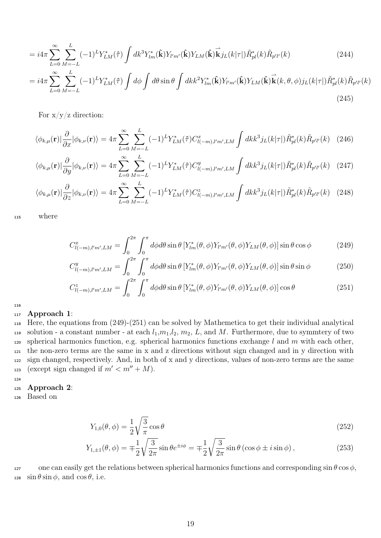$$
=i4\pi\sum_{L=0}^{\infty}\sum_{M=-L}^{L}(-1)^{L}Y_{LM}^{*}(\hat{\tau})\int dk^{3}Y_{lm}^{*}(\hat{\mathbf{k}})Y_{l'm'}(\hat{\mathbf{k}})Y_{LM}(\hat{\mathbf{k}})\overrightarrow{\mathbf{k}}j_{L}(k|\tau|)\tilde{R}_{pl}^{*}(k)\tilde{R}_{p'l'}(k)
$$
\n(244)

$$
=i4\pi\sum_{L=0}^{\infty}\sum_{M=-L}^{L}(-1)^{L}Y_{LM}^{*}(\hat{\tau})\int d\phi\int d\theta\sin\theta\int dk k^{2}Y_{lm}^{*}(\hat{\mathbf{k}})Y_{l'm'}(\hat{\mathbf{k}})Y_{LM}(\hat{\mathbf{k}})\overrightarrow{\mathbf{k}}(k,\theta,\phi)j_{L}(k|\tau|)\tilde{R}_{pl}^{*}(k)\tilde{R}_{p'l'}(k)
$$
\n(245)

For  $x/y/z$  direction:

$$
\langle \phi_{k,\mu}(\mathbf{r}) | \frac{\partial}{\partial x} | \phi_{k,\nu}(\mathbf{r}) \rangle = 4\pi \sum_{L=0}^{\infty} \sum_{M=-L}^{L} (-1)^{L} Y_{LM}^{*}(\hat{\tau}) C_{l(-m),l'm',LM}^{x} \int dk k^{3} j_{L}(k|\tau|) \tilde{R}_{pl}^{*}(k) \tilde{R}_{p'l'}(k) \tag{246}
$$

$$
\langle \phi_{k,\mu}(\mathbf{r}) | \frac{\partial}{\partial y} | \phi_{k,\nu}(\mathbf{r}) \rangle = 4\pi \sum_{L=0}^{\infty} \sum_{M=-L}^{L} (-1)^L Y_{LM}^*(\hat{\tau}) C_{l(-m),l'm',LM}^y \int dk k^3 j_L(k|\tau|) \tilde{R}_{pl}^*(k) \tilde{R}_{p'l'}(k) \tag{247}
$$

$$
\langle \phi_{k,\mu}(\mathbf{r}) | \frac{\partial}{\partial z} | \phi_{k,\nu}(\mathbf{r}) \rangle = 4\pi \sum_{L=0}^{\infty} \sum_{M=-L}^{L} (-1)^L Y_{LM}^*(\hat{\tau}) C_{l(-m),l'm',LM}^z \int dk k^3 j_L(k|\tau|) \tilde{R}_{pl}^*(k) \tilde{R}_{p'l'}(k) \tag{248}
$$

<sup>115</sup> where

$$
C_{l(-m),l'm',LM}^{x} = \int_{0}^{2\pi} \int_{0}^{\pi} d\phi d\theta \sin \theta \left[ Y_{lm}^{*}(\theta,\phi) Y_{l'm'}(\theta,\phi) Y_{LM}(\theta,\phi) \right] \sin \theta \cos \phi \tag{249}
$$

$$
C_{l(-m),l'm',LM}^{y} = \int_{0}^{2\pi} \int_{0}^{\pi} d\phi d\theta \sin \theta \left[ Y_{lm}^{*}(\theta,\phi) Y_{l'm'}(\theta,\phi) Y_{LM}(\theta,\phi) \right] \sin \theta \sin \phi \tag{250}
$$

$$
C_{l(-m),l'm',LM}^{z} = \int_{0}^{2\pi} \int_{0}^{\pi} d\phi d\theta \sin\theta \left[ Y_{lm}^{*}(\theta,\phi) Y_{l'm'}(\theta,\phi) Y_{LM}(\theta,\phi) \right] \cos\theta \tag{251}
$$

116

#### <sup>117</sup> Approach 1:

<sup>118</sup> Here, the equations from (249)-(251) can be solved by Mathemetica to get their individual analytical 119 solution - a constant number - at each  $l_1,m_1,l_2, m_2, L$ , and M. Furthermore, due to symmtery of two 120 spherical harmonics function, e.g. spherical harmonics functions exchange l and m with each other, <sup>121</sup> the non-zero terms are the same in x and z directions without sign changed and in y direction with <sup>122</sup> sign changed, respectively. And, in both of x and y directions, values of non-zero terms are the same 123 (except sign changed if  $m' < m'' + M$ ).

#### 124

#### <sup>125</sup> Approach 2:

<sup>126</sup> Based on

$$
Y_{1,0}(\theta,\phi) = \frac{1}{2}\sqrt{\frac{3}{\pi}}\cos\theta\tag{252}
$$

$$
Y_{1,\pm 1}(\theta,\phi) = \mp \frac{1}{2} \sqrt{\frac{3}{2\pi}} \sin \theta e^{\pm i\phi} = \mp \frac{1}{2} \sqrt{\frac{3}{2\pi}} \sin \theta \left(\cos \phi \pm i \sin \phi\right),\tag{253}
$$

127 one can easily get the relations between spherical harmonics functions and corresponding  $\sin \theta \cos \phi$ , 128  $\sin \theta \sin \phi$ , and  $\cos \theta$ , i.e.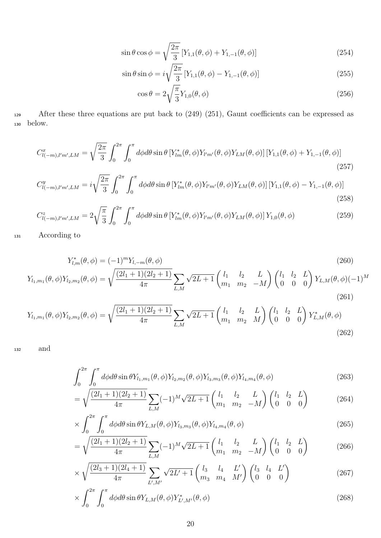$$
\sin \theta \cos \phi = \sqrt{\frac{2\pi}{3}} [Y_{1,1}(\theta, \phi) + Y_{1,-1}(\theta, \phi)]
$$
\n(254)

$$
\sin \theta \sin \phi = i \sqrt{\frac{2\pi}{3}} \left[ Y_{1,1}(\theta, \phi) - Y_{1,-1}(\theta, \phi) \right]
$$
 (255)

$$
\cos \theta = 2\sqrt{\frac{\pi}{3}} Y_{1,0}(\theta, \phi) \tag{256}
$$

129 After these three equations are put back to (249) (251), Gaunt coefficients can be expressed as <sup>130</sup> below.

$$
C_{l(-m),l'm',LM}^{x} = \sqrt{\frac{2\pi}{3}} \int_{0}^{2\pi} \int_{0}^{\pi} d\phi d\theta \sin\theta \left[ Y_{lm}^{*}(\theta,\phi) Y_{l'm'}(\theta,\phi) Y_{LM}(\theta,\phi) \right] \left[ Y_{1,1}(\theta,\phi) + Y_{1,-1}(\theta,\phi) \right]
$$
\n(257)

$$
C_{l(-m),l'm',LM}^{y} = i\sqrt{\frac{2\pi}{3}} \int_{0}^{2\pi} \int_{0}^{\pi} d\phi d\theta \sin\theta \left[ Y_{lm}^{*}(\theta,\phi) Y_{l'm'}(\theta,\phi) Y_{LM}(\theta,\phi) \right] \left[ Y_{1,1}(\theta,\phi) - Y_{1,-1}(\theta,\phi) \right]
$$
(258)

$$
C_{l(-m),l'm',LM}^{z} = 2\sqrt{\frac{\pi}{3}} \int_{0}^{2\pi} \int_{0}^{\pi} d\phi d\theta \sin\theta \left[ Y_{lm}^{*}(\theta,\phi) Y_{l'm'}(\theta,\phi) Y_{LM}(\theta,\phi) \right] Y_{1,0}(\theta,\phi)
$$
(259)

<sup>131</sup> According to

$$
Y_{l,m}^{*}(\theta,\phi) = (-1)^{m}Y_{l,-m}(\theta,\phi)
$$
\n
$$
Y_{l,m}(\theta,\phi)Y_{l_{2},m_{2}}(\theta,\phi) = \sqrt{\frac{(2l_{1}+1)(2l_{2}+1)}{4\pi}}\sum_{L,M}\sqrt{2L+1}\begin{pmatrix}l_{1} & l_{2} & L\\m_{1} & m_{2} & -M\end{pmatrix}\begin{pmatrix}l_{1} & l_{2} & L\\0 & 0 & 0\end{pmatrix}Y_{L,M}(\theta,\phi)(-1)^{M}
$$
\n(261)

$$
Y_{l_1,m_1}(\theta,\phi)Y_{l_2,m_2}(\theta,\phi) = \sqrt{\frac{(2l_1+1)(2l_2+1)}{4\pi}} \sum_{L,M} \sqrt{2L+1} \begin{pmatrix} l_1 & l_2 & L \ m_1 & m_2 & M \end{pmatrix} \begin{pmatrix} l_1 & l_2 & L \ 0 & 0 & 0 \end{pmatrix} Y_{L,M}^*(\theta,\phi)
$$
\n(262)

<sup>132</sup> and

$$
\int_0^{2\pi} \int_0^{\pi} d\phi d\theta \sin \theta Y_{l_1,m_1}(\theta,\phi) Y_{l_2,m_2}(\theta,\phi) Y_{l_3,m_3}(\theta,\phi) Y_{l_4,m_4}(\theta,\phi)
$$
\n(263)

$$
= \sqrt{\frac{(2l_1+1)(2l_2+1)}{4\pi}} \sum_{L,M} (-1)^M \sqrt{2L+1} \begin{pmatrix} l_1 & l_2 & L \ m_1 & m_2 & -M \end{pmatrix} \begin{pmatrix} l_1 & l_2 & L \ 0 & 0 & 0 \end{pmatrix}
$$
 (264)

$$
\times \int_0^{2\pi} \int_0^{\pi} d\phi d\theta \sin \theta Y_{L,M}(\theta,\phi) Y_{l_3,m_3}(\theta,\phi) Y_{l_4,m_4}(\theta,\phi)
$$
\n(265)

$$
= \sqrt{\frac{(2l_1+1)(2l_2+1)}{4\pi}} \sum_{L,M} (-1)^M \sqrt{2L+1} \begin{pmatrix} l_1 & l_2 & L \ m_1 & m_2 & -M \end{pmatrix} \begin{pmatrix} l_1 & l_2 & L \ 0 & 0 & 0 \end{pmatrix}
$$
 (266)

$$
\times \sqrt{\frac{(2l_3+1)(2l_4+1)}{4\pi}} \sum_{L',M'} \sqrt{2L'+1} \begin{pmatrix} l_3 & l_4 & L' \\ m_3 & m_4 & M' \end{pmatrix} \begin{pmatrix} l_3 & l_4 & L' \\ 0 & 0 & 0 \end{pmatrix}
$$
 (267)

$$
\times \int_0^{2\pi} \int_0^{\pi} d\phi d\theta \sin \theta Y_{L,M}(\theta,\phi) Y_{L',M'}^*(\theta,\phi)
$$
\n(268)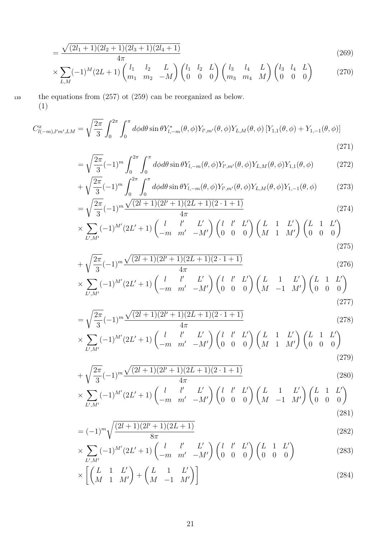$$
=\frac{\sqrt{(2l_1+1)(2l_2+1)(2l_3+1)(2l_4+1)}}{4\pi}\tag{269}
$$

$$
\times \sum_{L,M} (-1)^M (2L+1) \begin{pmatrix} l_1 & l_2 & L \\ m_1 & m_2 & -M \end{pmatrix} \begin{pmatrix} l_1 & l_2 & L \\ 0 & 0 & 0 \end{pmatrix} \begin{pmatrix} l_3 & l_4 & L \\ m_3 & m_4 & M \end{pmatrix} \begin{pmatrix} l_3 & l_4 & L \\ 0 & 0 & 0 \end{pmatrix}
$$
 (270)

<sup>133</sup> the equations from (257) ot (259) can be reorganized as below. (1)

$$
C_{l(-m),l'm',LM}^{x} = \sqrt{\frac{2\pi}{3}} \int_{0}^{2\pi} \int_{0}^{\pi} d\phi d\theta \sin \theta Y_{l,-m}^{*}(\theta,\phi) Y_{l',m'}(\theta,\phi) Y_{L,M}(\theta,\phi) \left[ Y_{1,1}(\theta,\phi) + Y_{1,-1}(\theta,\phi) \right]
$$
\n(271)

$$
= \sqrt{\frac{2\pi}{3}} (-1)^m \int_0^{2\pi} \int_0^{\pi} d\phi d\theta \sin \theta Y_{l,-m}(\theta,\phi) Y_{l',m'}(\theta,\phi) Y_{L,M}(\theta,\phi) Y_{1,1}(\theta,\phi)
$$
(272)

$$
+\sqrt{\frac{2\pi}{3}}(-1)^m \int_0^{2\pi} \int_0^{\pi} d\phi d\theta \sin \theta Y_{l,-m}(\theta,\phi) Y_{l',m'}(\theta,\phi) Y_{L,M}(\theta,\phi) Y_{1,-1}(\theta,\phi) \tag{273}
$$

$$
= \sqrt{\frac{2\pi}{3}} (-1)^m \frac{\sqrt{(2l+1)(2l+1)(2L+1)(2\cdot 1+1)}}{4\pi}
$$
\n
$$
\sqrt{\sum_{i=1}^m (2l+1)(2l+1)} \left( \frac{l}{l} - \frac{l'}{l'} - \frac{L'}{l'} \right) \left( \frac{l}{l} - \frac{l'}{l'} - \frac{L'}{l'} \right) \left( \frac{L}{l} - \frac{1}{l'} - \frac{L'}{l'} \right) \left( \frac{l}{l} - \frac{l'}{l'} - \frac{L'}{l'} \right) \left( \frac{l}{l} - \frac{l'}{l'} - \frac{L'}{l'} \right) \left( \frac{l}{l} - \frac{l'}{l'} - \frac{L'}{l'} \right) \left( \frac{l}{l} - \frac{l'}{l'} - \frac{L'}{l'} \right) \left( \frac{l}{l} - \frac{l'}{l'} - \frac{L'}{l'} \right) \left( \frac{l}{l} - \frac{l'}{l'} - \frac{L'}{l'} \right) \left( \frac{l}{l} - \frac{l'}{l'} - \frac{L'}{l'} \right) \left( \frac{l}{l} - \frac{l'}{l'} - \frac{L'}{l'} \right) \left( \frac{l}{l} - \frac{l'}{l'} - \frac{L'}{l'} \right) \left( \frac{l}{l} - \frac{l'}{l'} - \frac{L'}{l'} \right) \left( \frac{l}{l} - \frac{l'}{l'} - \frac{L'}{l'} \right) \left( \frac{l}{l} - \frac{l'}{l'} - \frac{L'}{l'} \right) \left( \frac{l}{l} - \frac{l'}{l'} \right) \left( \frac{l}{l} - \frac{l'}{l'} \right) \left( \frac{l}{l} - \frac{l'}{l'} \right) \left( \frac{l}{l} - \frac{l'}{l'} \right) \left( \frac{l}{l} - \frac{l'}{l'} \right) \left( \frac{l}{l} - \frac{l'}{l'} \right) \left( \frac{l}{l} - \frac{l'}{l'} \right) \left( \frac{l}{l} - \frac{l'}{l'} \right) \left( \frac{l}{l} - \frac{l'}{l'} \right) \left( \frac{l}{l} - \frac{l'}{l'} \right) \left( \frac{l}{l} - \frac{l'}{l'} \right) \left( \frac{l}{l} - \frac{l'}{l'} \right) \left( \
$$

$$
\times \sum_{L',M'} (-1)^{M'} (2L' + 1) \begin{pmatrix} l & l' & L' \\ -m & m' & -M' \end{pmatrix} \begin{pmatrix} l & l' & L' \\ 0 & 0 & 0 \end{pmatrix} \begin{pmatrix} L & 1 & L' \\ M & 1 & M' \end{pmatrix} \begin{pmatrix} L & 1 & L' \\ 0 & 0 & 0 \end{pmatrix}
$$
\n(275)

$$
+\sqrt{\frac{2\pi}{3}}(-1)^{m}\frac{\sqrt{(2l+1)(2l+1)(2L+1)(2\cdot 1+1)}}{4\pi}
$$
\n(276)

$$
\times \sum_{L',M'} (-1)^{M'} (2L'+1) \begin{pmatrix} l & l' & L' \\ -m & m' & -M' \end{pmatrix} \begin{pmatrix} l & l' & L' \\ 0 & 0 & 0 \end{pmatrix} \begin{pmatrix} L & 1 & L' \\ M & -1 & M' \end{pmatrix} \begin{pmatrix} L & 1 & L' \\ 0 & 0 & 0 \end{pmatrix}
$$
\n(277)

$$
= \sqrt{\frac{2\pi}{3}} (-1)^m \frac{\sqrt{(2l+1)(2l+1)(2L+1)(2\cdot 1+1)}}{4\pi}
$$
\n(278)

$$
\times \sum_{L',M'} (-1)^{M'} (2L'+1) \begin{pmatrix} l & l' & L' \\ -m & m' & -M' \end{pmatrix} \begin{pmatrix} l & l' & L' \\ 0 & 0 & 0 \end{pmatrix} \begin{pmatrix} L & 1 & L' \\ M & 1 & M' \end{pmatrix} \begin{pmatrix} L & 1 & L' \\ 0 & 0 & 0 \end{pmatrix}
$$
\n(279)

$$
+\sqrt{\frac{2\pi}{3}}(-1)^{m}\frac{\sqrt{(2l+1)(2l+1)(2L+1)(2\cdot 1+1)}}{4\pi}\tag{280}
$$

$$
\times \sum_{L',M'} (-1)^{M'} (2L' + 1) \begin{pmatrix} l & l' & L' \\ -m & m' & -M' \end{pmatrix} \begin{pmatrix} l & l' & L' \\ 0 & 0 & 0 \end{pmatrix} \begin{pmatrix} L & 1 & L' \\ M & -1 & M' \end{pmatrix} \begin{pmatrix} L & 1 & L' \\ 0 & 0 & 0 \end{pmatrix}
$$
(281)

$$
= (-1)^m \sqrt{\frac{(2l+1)(2l'+1)(2L+1)}{8\pi}}
$$
\n(282)

$$
\times \sum_{L',M'} (-1)^{M'} (2L'+1) \begin{pmatrix} l & l' & L' \\ -m & m' & -M' \end{pmatrix} \begin{pmatrix} l & l' & L' \\ 0 & 0 & 0 \end{pmatrix} \begin{pmatrix} L & 1 & L' \\ 0 & 0 & 0 \end{pmatrix}
$$
 (283)

$$
\times \left[ \begin{pmatrix} L & 1 & L' \\ M & 1 & M' \end{pmatrix} + \begin{pmatrix} L & 1 & L' \\ M & -1 & M' \end{pmatrix} \right] \tag{284}
$$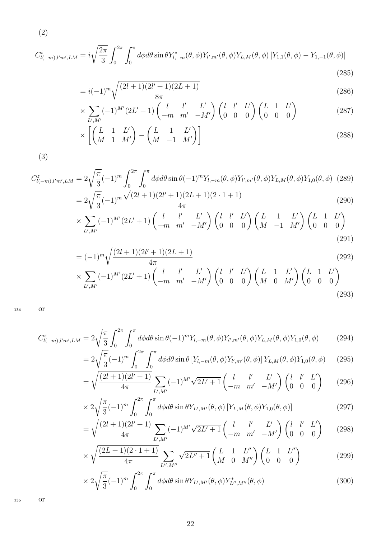$$
C_{l(-m),l'm',LM}^{i} = i\sqrt{\frac{2\pi}{3}} \int_{0}^{2\pi} \int_{0}^{\pi} d\phi d\theta \sin \theta Y_{l,-m}^{*}(\theta,\phi) Y_{l',m'}(\theta,\phi) Y_{L,M}(\theta,\phi) [Y_{1,1}(\theta,\phi) - Y_{1,-1}(\theta,\phi)]
$$
\n(285)

$$
= i(-1)^m \sqrt{\frac{(2l+1)(2l'+1)(2L+1)}{8\pi}}
$$
\n(286)

$$
\times \sum_{L',M'} (-1)^{M'} (2L'+1) \begin{pmatrix} l & l' & L' \\ -m & m' & -M' \end{pmatrix} \begin{pmatrix} l & l' & L' \\ 0 & 0 & 0 \end{pmatrix} \begin{pmatrix} L & 1 & L' \\ 0 & 0 & 0 \end{pmatrix}
$$
 (287)

$$
\times \left[ \begin{pmatrix} L & 1 & L' \\ M & 1 & M' \end{pmatrix} - \begin{pmatrix} L & 1 & L' \\ M & -1 & M' \end{pmatrix} \right] \tag{288}
$$

(3)

(2)

$$
C_{l(-m),l'm',LM}^{z} = 2\sqrt{\frac{\pi}{3}}(-1)^{m} \int_{0}^{2\pi} \int_{0}^{\pi} d\phi d\theta \sin \theta (-1)^{m} Y_{l,-m}(\theta,\phi) Y_{l',m'}(\theta,\phi) Y_{L,M}(\theta,\phi) Y_{1,0}(\theta,\phi)
$$
 (289)  

$$
= 2\sqrt{\frac{\pi}{3}}(-1)^{m} \frac{\sqrt{(2l+1)(2l'+1)(2L+1)(2\cdot 1+1)}}{4\pi}
$$
 (290)

$$
\times \sum_{L',M'} (-1)^{M'} (2L'+1) \begin{pmatrix} l & l' & L' \\ -m & m' & -M' \end{pmatrix} \begin{pmatrix} l & l' & L' \\ 0 & 0 & 0 \end{pmatrix} \begin{pmatrix} L & 1 & L' \\ M & -1 & M' \end{pmatrix} \begin{pmatrix} L & 1 & L' \\ 0 & 0 & 0 \end{pmatrix}
$$
\n(291)

$$
= (-1)^{m} \sqrt{\frac{(2l+1)(2l+1)(2L+1)}{4\pi}}
$$
\n(292)

$$
\times \sum_{L',M'} (-1)^{M'} (2L'+1) \begin{pmatrix} l & l' & L' \\ -m & m' & -M' \end{pmatrix} \begin{pmatrix} l & l' & L' \\ 0 & 0 & 0 \end{pmatrix} \begin{pmatrix} L & 1 & L' \\ M & 0 & M' \end{pmatrix} \begin{pmatrix} L & 1 & L' \\ 0 & 0 & 0 \end{pmatrix}
$$
\n(293)

<sup>134</sup> or

$$
C_{l(-m),l'm',LM}^{z} = 2\sqrt{\frac{\pi}{3}} \int_{0}^{2\pi} \int_{0}^{\pi} d\phi d\theta \sin \theta (-1)^{m} Y_{l,-m}(\theta,\phi) Y_{l',m'}(\theta,\phi) Y_{L,M}(\theta,\phi) Y_{1,0}(\theta,\phi)
$$
(294)

$$
=2\sqrt{\frac{\pi}{3}}(-1)^m \int_0^{2\pi} \int_0^{\pi} d\phi d\theta \sin \theta \left[Y_{l,-m}(\theta,\phi)Y_{l',m'}(\theta,\phi)\right] Y_{L,M}(\theta,\phi) Y_{1,0}(\theta,\phi) \tag{295}
$$

$$
= \sqrt{\frac{(2l+1)(2l'+1)}{4\pi}} \sum_{L',M'} (-1)^{M'} \sqrt{2L'+1} \begin{pmatrix} l & l' & L' \\ -m & m' & -M' \end{pmatrix} \begin{pmatrix} l & l' & L' \\ 0 & 0 & 0 \end{pmatrix} \tag{296}
$$

$$
\times 2\sqrt{\frac{\pi}{3}}(-1)^m \int_0^{2\pi} \int_0^{\pi} d\phi d\theta \sin \theta Y_{L',M'}(\theta,\phi) \left[ Y_{L,M}(\theta,\phi) Y_{1,0}(\theta,\phi) \right]
$$
(297)

$$
= \sqrt{\frac{(2l+1)(2l'+1)}{4\pi}} \sum_{L',M'} (-1)^{M'} \sqrt{2L'+1} \begin{pmatrix} l & l' & L' \\ -m & m' & -M' \end{pmatrix} \begin{pmatrix} l & l' & L' \\ 0 & 0 & 0 \end{pmatrix} \tag{298}
$$

$$
\times \sqrt{\frac{(2L+1)(2\cdot 1+1)}{4\pi}} \sum_{L'',M''} \sqrt{2L''+1} \begin{pmatrix} L & 1 & L'' \\ M & 0 & M'' \end{pmatrix} \begin{pmatrix} L & 1 & L'' \\ 0 & 0 & 0 \end{pmatrix}
$$
 (299)

$$
\times 2\sqrt{\frac{\pi}{3}}(-1)^m \int_0^{2\pi} \int_0^{\pi} d\phi d\theta \sin \theta Y_{L',M'}(\theta,\phi) Y_{L'',M''}^*(\theta,\phi)
$$
 (300)

<sup>135</sup> or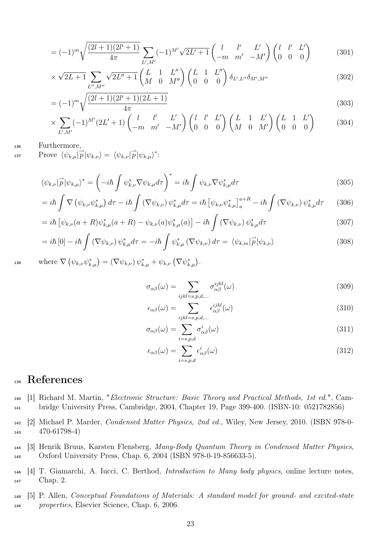$$
= (-1)^m \sqrt{\frac{(2l+1)(2l'+1)}{4\pi}} \sum_{L',M'} (-1)^{M'} \sqrt{2L'+1} \begin{pmatrix} l & l' & L' \\ -m & m' & -M' \end{pmatrix} \begin{pmatrix} l & l' & L' \\ 0 & 0 & 0 \end{pmatrix}
$$
(301)

$$
\times \sqrt{2L+1} \sum_{L'',M''} \sqrt{2L''+1} \begin{pmatrix} L & 1 & L'' \\ M & 0 & M'' \end{pmatrix} \begin{pmatrix} L & 1 & L'' \\ 0 & 0 & 0 \end{pmatrix} \delta_{L',L''} \delta_{M',M''}
$$
(302)

$$
=(-1)^{m}\sqrt{\frac{(2l+1)(2l'+1)(2L+1)}{4\pi}}\tag{303}
$$

$$
\times \sum_{L',M'} (-1)^{M'} (2L'+1) \begin{pmatrix} l & l' & L' \\ -m & m' & -M' \end{pmatrix} \begin{pmatrix} l & l' & L' \\ 0 & 0 & 0 \end{pmatrix} \begin{pmatrix} L & 1 & L' \\ M & 0 & M' \end{pmatrix} \begin{pmatrix} L & 1 & L' \\ 0 & 0 & 0 \end{pmatrix}
$$
 (304)

<sup>136</sup> Furthermore,

137 Prove  $\langle \psi_{k,\mu} | \overrightarrow{p} | \psi_{k,\nu} \rangle = \langle \psi_{k,\nu} | \overrightarrow{p} | \psi_{k,\mu} \rangle^*$ :

$$
\langle \psi_{k,\nu} | \overrightarrow{p} | \psi_{k,\mu} \rangle^* = \left( -i\hbar \int \psi_{k,\nu}^* \nabla \psi_{k,\mu} d\tau \right)^* = i\hbar \int \psi_{k,\nu} \nabla \psi_{k,\mu}^* d\tau
$$
\n(305)

$$
=i\hbar\int\nabla\left(\psi_{k,\nu}\psi_{k,\mu}^*\right)d\tau-i\hbar\int\left(\nabla\psi_{k,\nu}\right)\psi_{k,\mu}^*d\tau=i\hbar\left[\psi_{k,\nu}\psi_{k,\mu}^*\right]_a^{a+R}-i\hbar\int\left(\nabla\psi_{k,\nu}\right)\psi_{k,\mu}^*d\tau\qquad(306)
$$

$$
= i\hbar \left[ \psi_{k,\nu}(a+R)\psi_{k,\mu}^*(a+R) - \psi_{k,\nu}(a)\psi_{k,\mu}^*(a) \right] - i\hbar \int \left( \nabla \psi_{k,\nu} \right) \psi_{k,\mu}^* d\tau \tag{307}
$$

$$
= i\hbar \left[0\right] - i\hbar \int \left(\nabla \psi_{k,\nu}\right) \psi_{k,\mu}^* d\tau = -i\hbar \int \psi_{k,\mu}^* \left(\nabla \psi_{k,\nu}\right) d\tau = \langle \psi_{k,m} | \vec{p} | \psi_{k,\nu} \rangle \tag{308}
$$

<sup>138</sup> where  $\nabla \left( \psi_{k,\nu} \psi_{k,\mu}^* \right) = \left( \nabla \psi_{k,\nu} \right) \psi_{k,\mu}^* + \psi_{k,\nu} \left( \nabla \psi_{k,\mu}^* \right).$ 

$$
\sigma_{\alpha\beta}(\omega) = \sum_{ijkl=s,p,d,\dots} \sigma_{\alpha\beta}^{ijkl}(\omega)
$$
\n(309)

$$
\epsilon_{\alpha\beta}(\omega) = \sum_{ijkl=s,p,d,\dots} \epsilon_{\alpha\beta}^{ijkl}(\omega)
$$
\n(310)

$$
\sigma_{\alpha\beta}(\omega) = \sum_{i=s,p,d} \sigma_{\alpha\beta}^i(\omega) \tag{311}
$$

$$
\epsilon_{\alpha\beta}(\omega) = \sum_{i=s,p,d} \epsilon_{\alpha\beta}^i(\omega)
$$
\n(312)

# <sup>139</sup> References

- <sup>140</sup> [1] Richard M. Martin, "Electronic Structure: Basic Theory and Practical Methods, 1st ed.", Cam-<sup>141</sup> bridge University Press, Cambridge, 2004, Chapter 19, Page 399-400. (ISBN-10: 0521782856)
- <sup>142</sup> [2] Michael P. Marder, Condensed Matter Physics, 2nd ed., Wiley, New Jersey, 2010. (ISBN 978-0- <sup>143</sup> 470-61798-4)
- <sup>144</sup> [3] Henrik Bruus, Karsten Flensberg, Many-Body Quantum Theory in Condensed Matter Physics, <sup>145</sup> Oxford University Press, Chap. 6, 2004 (ISBN 978-0-19-856633-5).
- <sup>146</sup> [4] T. Giamarchi, A. Iucci, C. Berthod, Introduction to Many body physics, online lecture notes, <sup>147</sup> Chap. 2.
- <sup>148</sup> [5] P. Allen, Conceptual Foundations of Materials: A standard model for ground- and excited-state <sup>149</sup> properties, Elsevier Science, Chap. 6, 2006.